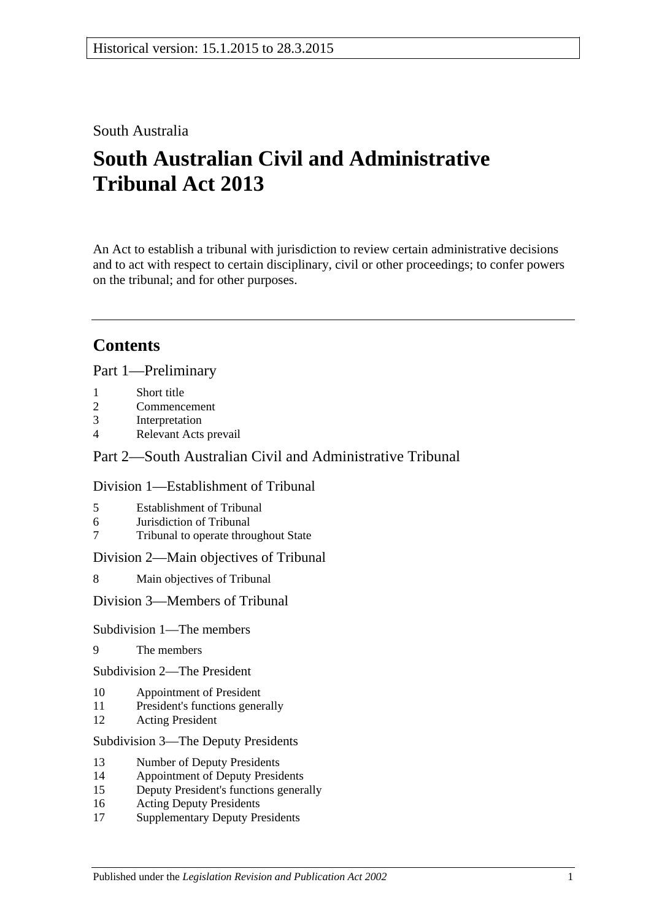# South Australia

# **South Australian Civil and Administrative Tribunal Act 2013**

An Act to establish a tribunal with jurisdiction to review certain administrative decisions and to act with respect to certain disciplinary, civil or other proceedings; to confer powers on the tribunal; and for other purposes.

# **Contents**

Part [1—Preliminary](#page-3-0)

- 1 [Short title](#page-3-1)
- 2 [Commencement](#page-3-2)
- 3 [Interpretation](#page-4-0)
- 4 [Relevant Acts prevail](#page-5-0)

## Part [2—South Australian Civil and Administrative Tribunal](#page-5-1)

#### Division [1—Establishment of Tribunal](#page-5-2)

- 5 [Establishment of Tribunal](#page-5-3)
- 6 [Jurisdiction of Tribunal](#page-6-0)
- 7 [Tribunal to operate throughout State](#page-6-1)

Division [2—Main objectives of Tribunal](#page-6-2)

8 [Main objectives of Tribunal](#page-6-3)

Division [3—Members of Tribunal](#page-7-0)

#### Subdivision [1—The members](#page-7-1)

9 [The members](#page-7-2)

Subdivision [2—The President](#page-7-3)

- 10 [Appointment of President](#page-7-4)
- 11 [President's functions generally](#page-8-0)
- 12 [Acting President](#page-9-0)

#### Subdivision [3—The Deputy Presidents](#page-9-1)

- 13 [Number of Deputy Presidents](#page-9-2)
- 14 [Appointment of Deputy Presidents](#page-9-3)
- 15 [Deputy President's functions generally](#page-11-0)
- 16 [Acting Deputy Presidents](#page-11-1)
- 17 [Supplementary Deputy Presidents](#page-12-0)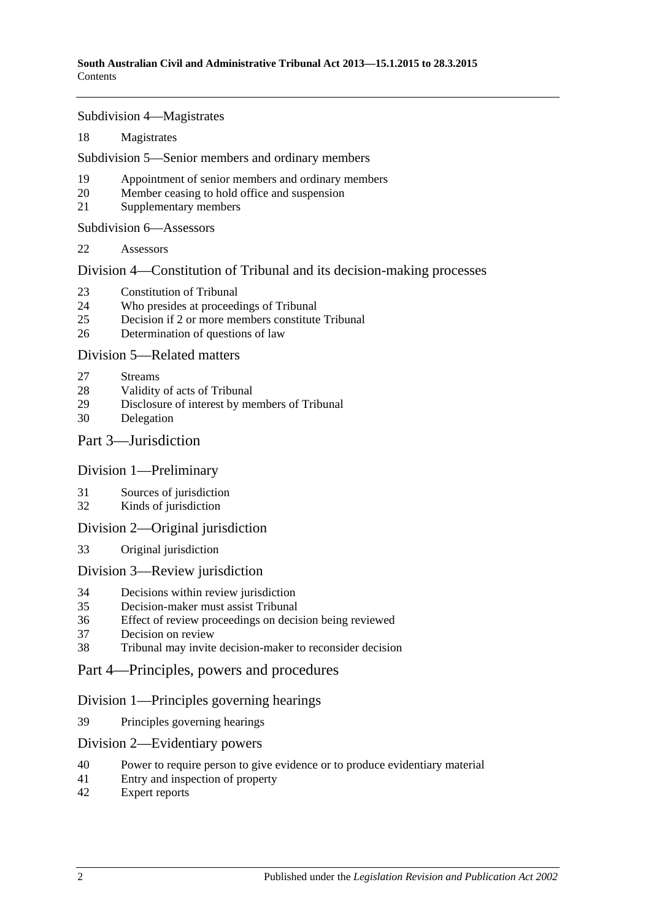Subdivision [4—Magistrates](#page-13-0)

[Magistrates](#page-13-1)

Subdivision [5—Senior members and ordinary members](#page-14-0)

- [Appointment of senior members and ordinary members](#page-14-1)
- [Member ceasing to hold office and suspension](#page-15-0)
- [Supplementary members](#page-16-0)

Subdivision [6—Assessors](#page-16-1)

[Assessors](#page-16-2)

Division [4—Constitution of Tribunal and its decision-making processes](#page-17-0)

- [Constitution of Tribunal](#page-17-1)
- [Who presides at proceedings of Tribunal](#page-18-0)
- [Decision if 2 or more members constitute Tribunal](#page-19-0)
- [Determination of questions of law](#page-19-1)

#### Division [5—Related matters](#page-19-2)

- [Streams](#page-19-3)
- [Validity of acts of Tribunal](#page-19-4)
- [Disclosure of interest by members of Tribunal](#page-19-5)
- [Delegation](#page-20-0)

#### Part [3—Jurisdiction](#page-20-1)

#### Division [1—Preliminary](#page-20-2)

- [Sources of jurisdiction](#page-20-3)
- [Kinds of jurisdiction](#page-20-4)

#### Division [2—Original jurisdiction](#page-21-0)

[Original jurisdiction](#page-21-1)

#### Division [3—Review jurisdiction](#page-21-2)

- [Decisions within review jurisdiction](#page-21-3)<br>35 Decision-maker must assist Tribunal
- [Decision-maker must assist Tribunal](#page-22-0)
- [Effect of review proceedings on decision being reviewed](#page-22-1)
- [Decision on review](#page-23-0)
- [Tribunal may invite decision-maker to reconsider decision](#page-23-1)
- Part [4—Principles, powers and procedures](#page-24-0)

## Division [1—Principles governing hearings](#page-24-1)

[Principles governing hearings](#page-24-2)

#### Division [2—Evidentiary powers](#page-24-3)

- [Power to require person to give evidence or to produce evidentiary material](#page-24-4)
- [Entry and inspection of property](#page-25-0)
- [Expert reports](#page-26-0)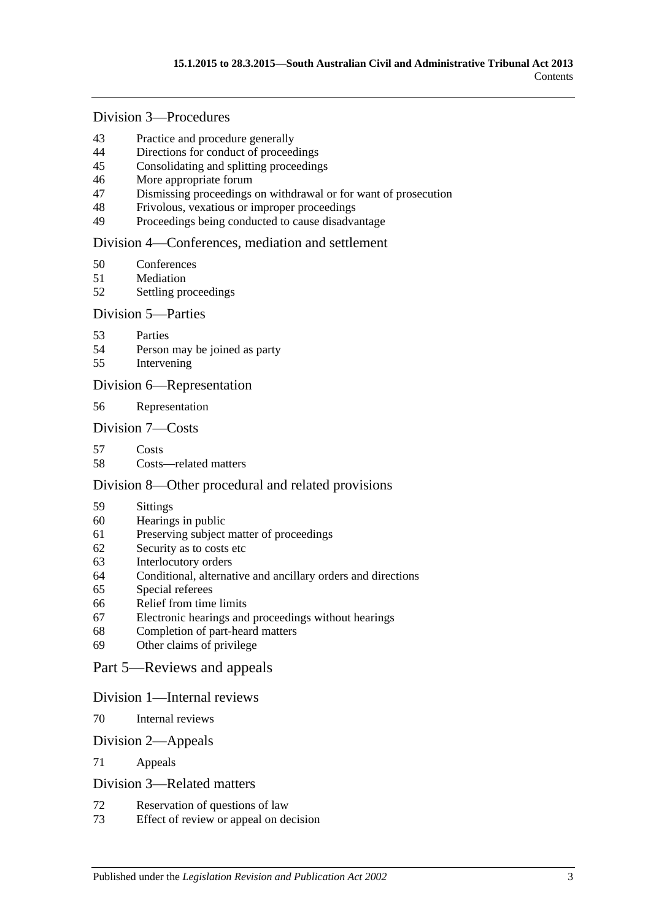# Division [3—Procedures](#page-26-1)

- [Practice and procedure generally](#page-26-2)<br>44 Directions for conduct of proceed
- [Directions for conduct of proceedings](#page-27-0)
- [Consolidating and splitting proceedings](#page-27-1)
- [More appropriate forum](#page-27-2)
- [Dismissing proceedings on withdrawal or for want of prosecution](#page-27-3)
- [Frivolous, vexatious or improper proceedings](#page-28-0)
- [Proceedings being conducted to cause disadvantage](#page-28-1)

#### Division [4—Conferences, mediation and settlement](#page-29-0)

- [Conferences](#page-29-1)
- [Mediation](#page-30-0)
- [Settling proceedings](#page-31-0)

#### Division [5—Parties](#page-31-1)

- [Parties](#page-31-2)
- [Person may be joined as party](#page-32-0)
- [Intervening](#page-32-1)

#### Division [6—Representation](#page-32-2)

[Representation](#page-32-3)

#### Division [7—Costs](#page-33-0)

- [Costs](#page-33-1)
- [Costs—related matters](#page-33-2)

#### Division [8—Other procedural and related provisions](#page-34-0)

- [Sittings](#page-34-1)
- [Hearings in public](#page-34-2)
- [Preserving subject matter of proceedings](#page-35-0)
- [Security as to costs etc](#page-35-1)
- [Interlocutory orders](#page-36-0)
- [Conditional, alternative and ancillary orders and directions](#page-36-1)
- [Special referees](#page-36-2)
- [Relief from time limits](#page-36-3)
- [Electronic hearings and proceedings without hearings](#page-37-0)
- [Completion of part-heard matters](#page-37-1)
- [Other claims of privilege](#page-37-2)

#### Part [5—Reviews and appeals](#page-37-3)

#### Division [1—Internal reviews](#page-37-4)

[Internal reviews](#page-37-5)

#### Division [2—Appeals](#page-38-0)

[Appeals](#page-38-1)

#### Division [3—Related matters](#page-39-0)

- [Reservation of questions of law](#page-39-1)
- [Effect of review or appeal on decision](#page-39-2)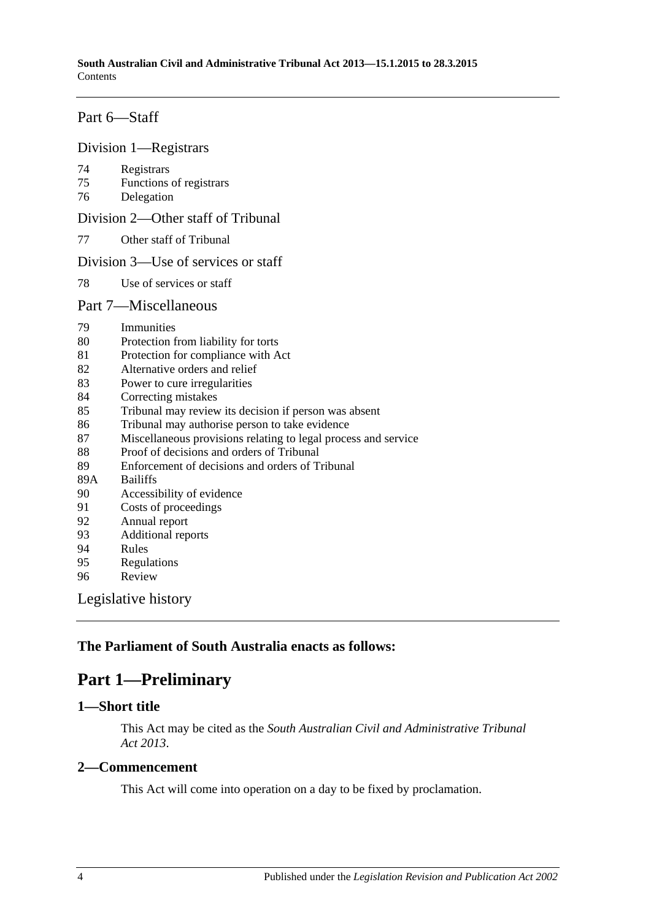## Part [6—Staff](#page-39-3)

#### Division [1—Registrars](#page-39-4)

- 74 [Registrars](#page-39-5)
- 75 [Functions of registrars](#page-40-0)
- 76 [Delegation](#page-40-1)

Division [2—Other staff of Tribunal](#page-41-0)

77 [Other staff of Tribunal](#page-41-1)

#### Division [3—Use of services or staff](#page-41-2)

78 [Use of services or staff](#page-41-3)

#### Part [7—Miscellaneous](#page-41-4)

- 79 [Immunities](#page-41-5)
- 80 [Protection from liability for torts](#page-41-6)
- 81 [Protection for compliance with Act](#page-42-0)
- 82 [Alternative orders and relief](#page-42-1)
- 83 [Power to cure irregularities](#page-42-2)
- 84 [Correcting mistakes](#page-42-3)
- 85 [Tribunal may review its decision if person was absent](#page-43-0)
- 86 [Tribunal may authorise person to take evidence](#page-43-1)
- 87 [Miscellaneous provisions relating to legal process and service](#page-44-0)
- 88 [Proof of decisions and orders of Tribunal](#page-44-1)
- 89 [Enforcement of decisions and orders of Tribunal](#page-44-2)<br>89A Bailiffs
- **[Bailiffs](#page-44-3)**
- 90 [Accessibility of evidence](#page-45-0)
- 91 [Costs of proceedings](#page-45-1)
- 92 [Annual report](#page-46-0)
- 93 [Additional reports](#page-46-1)
- 94 [Rules](#page-46-2)
- 95 [Regulations](#page-47-0)
- 96 [Review](#page-47-1)

[Legislative history](#page-48-0)

## <span id="page-3-0"></span>**The Parliament of South Australia enacts as follows:**

# **Part 1—Preliminary**

## <span id="page-3-1"></span>**1—Short title**

This Act may be cited as the *South Australian Civil and Administrative Tribunal Act 2013*.

#### <span id="page-3-2"></span>**2—Commencement**

This Act will come into operation on a day to be fixed by proclamation.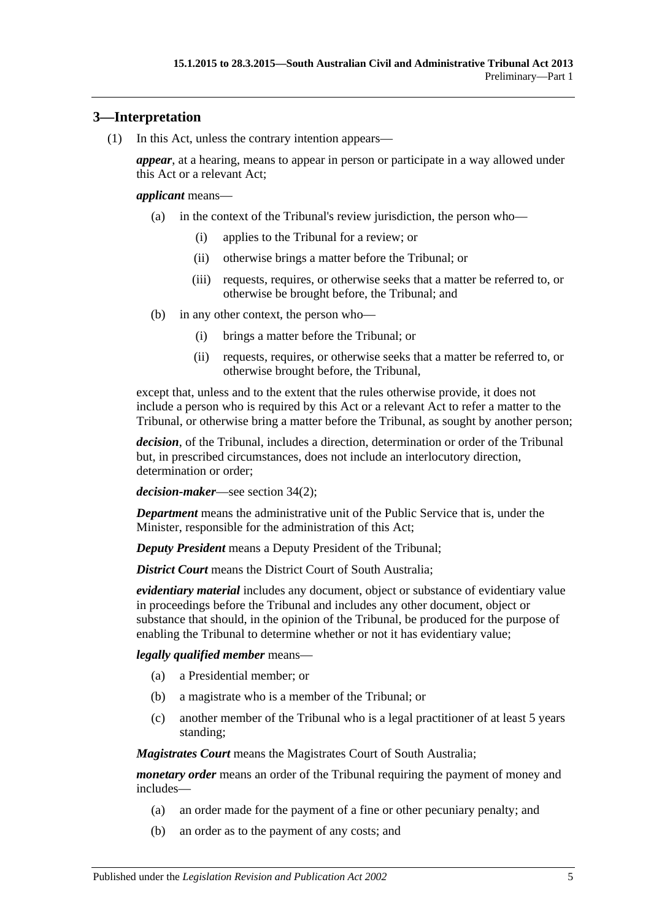## <span id="page-4-0"></span>**3—Interpretation**

(1) In this Act, unless the contrary intention appears—

*appear*, at a hearing, means to appear in person or participate in a way allowed under this Act or a relevant Act;

#### *applicant* means—

- (a) in the context of the Tribunal's review jurisdiction, the person who—
	- (i) applies to the Tribunal for a review; or
	- (ii) otherwise brings a matter before the Tribunal; or
	- (iii) requests, requires, or otherwise seeks that a matter be referred to, or otherwise be brought before, the Tribunal; and
- (b) in any other context, the person who—
	- (i) brings a matter before the Tribunal; or
	- (ii) requests, requires, or otherwise seeks that a matter be referred to, or otherwise brought before, the Tribunal,

except that, unless and to the extent that the rules otherwise provide, it does not include a person who is required by this Act or a relevant Act to refer a matter to the Tribunal, or otherwise bring a matter before the Tribunal, as sought by another person;

*decision*, of the Tribunal, includes a direction, determination or order of the Tribunal but, in prescribed circumstances, does not include an interlocutory direction, determination or order;

*decision-maker*—see [section](#page-21-4) 34(2);

*Department* means the administrative unit of the Public Service that is, under the Minister, responsible for the administration of this Act;

*Deputy President* means a Deputy President of the Tribunal;

*District Court* means the District Court of South Australia:

*evidentiary material* includes any document, object or substance of evidentiary value in proceedings before the Tribunal and includes any other document, object or substance that should, in the opinion of the Tribunal, be produced for the purpose of enabling the Tribunal to determine whether or not it has evidentiary value;

#### *legally qualified member* means—

- (a) a Presidential member; or
- (b) a magistrate who is a member of the Tribunal; or
- (c) another member of the Tribunal who is a legal practitioner of at least 5 years standing;

*Magistrates Court* means the Magistrates Court of South Australia;

*monetary order* means an order of the Tribunal requiring the payment of money and includes—

- (a) an order made for the payment of a fine or other pecuniary penalty; and
- (b) an order as to the payment of any costs; and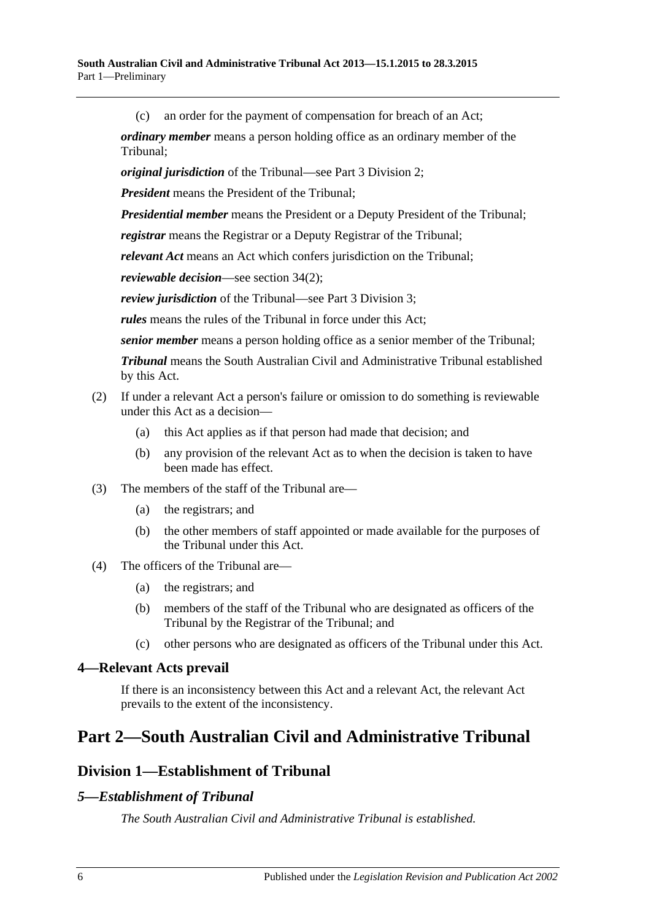(c) an order for the payment of compensation for breach of an Act;

*ordinary member* means a person holding office as an ordinary member of the Tribunal;

*original jurisdiction* of the Tribunal—see Part [3 Division](#page-21-0) 2;

*President* means the President of the Tribunal;

*Presidential member* means the President or a Deputy President of the Tribunal;

*registrar* means the Registrar or a Deputy Registrar of the Tribunal;

*relevant Act* means an Act which confers jurisdiction on the Tribunal;

*reviewable decision*—see [section](#page-21-4) 34(2);

*review jurisdiction* of the Tribunal—see Part [3 Division](#page-21-2) 3;

*rules* means the rules of the Tribunal in force under this Act;

*senior member* means a person holding office as a senior member of the Tribunal;

*Tribunal* means the South Australian Civil and Administrative Tribunal established by this Act.

#### (2) If under a relevant Act a person's failure or omission to do something is reviewable under this Act as a decision—

- (a) this Act applies as if that person had made that decision; and
- (b) any provision of the relevant Act as to when the decision is taken to have been made has effect.
- (3) The members of the staff of the Tribunal are—
	- (a) the registrars; and
	- (b) the other members of staff appointed or made available for the purposes of the Tribunal under this Act.
- (4) The officers of the Tribunal are—
	- (a) the registrars; and
	- (b) members of the staff of the Tribunal who are designated as officers of the Tribunal by the Registrar of the Tribunal; and
	- (c) other persons who are designated as officers of the Tribunal under this Act.

#### <span id="page-5-0"></span>**4—Relevant Acts prevail**

If there is an inconsistency between this Act and a relevant Act, the relevant Act prevails to the extent of the inconsistency.

# <span id="page-5-2"></span><span id="page-5-1"></span>**Part 2—South Australian Civil and Administrative Tribunal**

# **Division 1—Establishment of Tribunal**

## <span id="page-5-3"></span>*5—Establishment of Tribunal*

*The South Australian Civil and Administrative Tribunal is established.*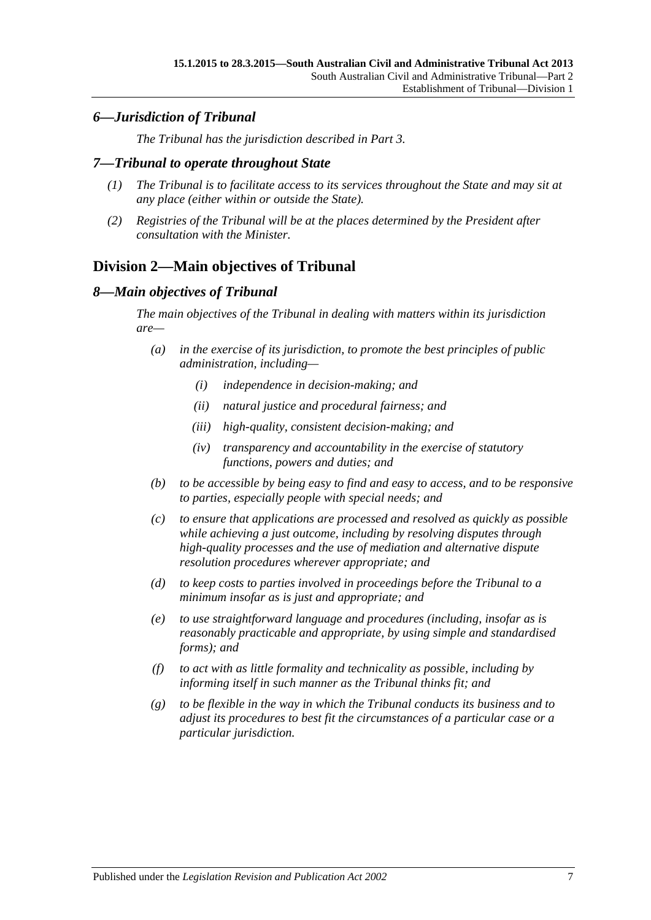## <span id="page-6-0"></span>*6—Jurisdiction of Tribunal*

*The Tribunal has the jurisdiction described in [Part](#page-20-1) 3.*

#### <span id="page-6-1"></span>*7—Tribunal to operate throughout State*

- *(1) The Tribunal is to facilitate access to its services throughout the State and may sit at any place (either within or outside the State).*
- *(2) Registries of the Tribunal will be at the places determined by the President after consultation with the Minister.*

# <span id="page-6-2"></span>**Division 2—Main objectives of Tribunal**

## <span id="page-6-3"></span>*8—Main objectives of Tribunal*

*The main objectives of the Tribunal in dealing with matters within its jurisdiction are—*

- *(a) in the exercise of its jurisdiction, to promote the best principles of public administration, including—*
	- *(i) independence in decision-making; and*
	- *(ii) natural justice and procedural fairness; and*
	- *(iii) high-quality, consistent decision-making; and*
	- *(iv) transparency and accountability in the exercise of statutory functions, powers and duties; and*
- *(b) to be accessible by being easy to find and easy to access, and to be responsive to parties, especially people with special needs; and*
- *(c) to ensure that applications are processed and resolved as quickly as possible while achieving a just outcome, including by resolving disputes through high-quality processes and the use of mediation and alternative dispute resolution procedures wherever appropriate; and*
- *(d) to keep costs to parties involved in proceedings before the Tribunal to a minimum insofar as is just and appropriate; and*
- *(e) to use straightforward language and procedures (including, insofar as is reasonably practicable and appropriate, by using simple and standardised forms); and*
- *(f) to act with as little formality and technicality as possible, including by informing itself in such manner as the Tribunal thinks fit; and*
- *(g) to be flexible in the way in which the Tribunal conducts its business and to adjust its procedures to best fit the circumstances of a particular case or a particular jurisdiction.*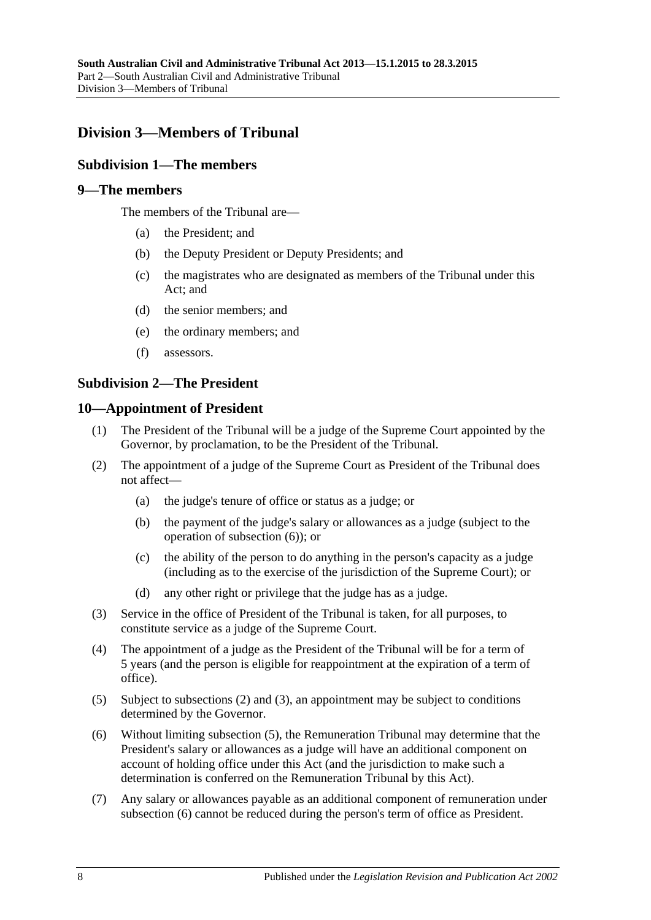# <span id="page-7-1"></span><span id="page-7-0"></span>**Division 3—Members of Tribunal**

## **Subdivision 1—The members**

## <span id="page-7-2"></span>**9—The members**

The members of the Tribunal are—

- (a) the President; and
- (b) the Deputy President or Deputy Presidents; and
- (c) the magistrates who are designated as members of the Tribunal under this Act; and
- (d) the senior members; and
- (e) the ordinary members; and
- (f) assessors.

#### <span id="page-7-3"></span>**Subdivision 2—The President**

#### <span id="page-7-4"></span>**10—Appointment of President**

- (1) The President of the Tribunal will be a judge of the Supreme Court appointed by the Governor, by proclamation, to be the President of the Tribunal.
- <span id="page-7-6"></span>(2) The appointment of a judge of the Supreme Court as President of the Tribunal does not affect—
	- (a) the judge's tenure of office or status as a judge; or
	- (b) the payment of the judge's salary or allowances as a judge (subject to the operation of [subsection](#page-7-5) (6)); or
	- (c) the ability of the person to do anything in the person's capacity as a judge (including as to the exercise of the jurisdiction of the Supreme Court); or
	- (d) any other right or privilege that the judge has as a judge.
- <span id="page-7-7"></span>(3) Service in the office of President of the Tribunal is taken, for all purposes, to constitute service as a judge of the Supreme Court.
- (4) The appointment of a judge as the President of the Tribunal will be for a term of 5 years (and the person is eligible for reappointment at the expiration of a term of office).
- <span id="page-7-8"></span>(5) Subject to [subsections](#page-7-6) (2) and [\(3\),](#page-7-7) an appointment may be subject to conditions determined by the Governor.
- <span id="page-7-5"></span>(6) Without limiting [subsection](#page-7-8) (5), the Remuneration Tribunal may determine that the President's salary or allowances as a judge will have an additional component on account of holding office under this Act (and the jurisdiction to make such a determination is conferred on the Remuneration Tribunal by this Act).
- (7) Any salary or allowances payable as an additional component of remuneration under [subsection](#page-7-5) (6) cannot be reduced during the person's term of office as President.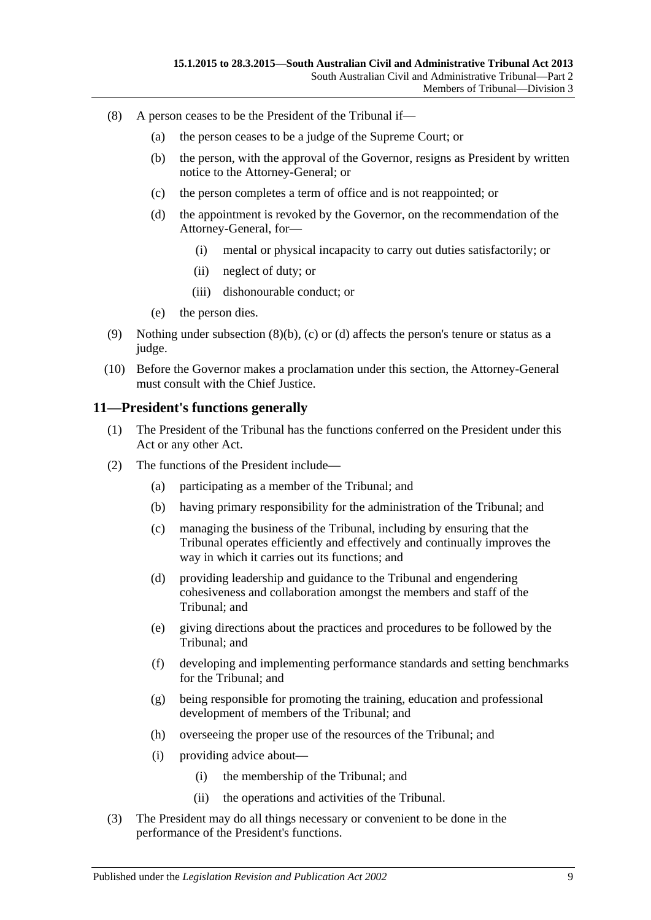- <span id="page-8-3"></span><span id="page-8-2"></span><span id="page-8-1"></span>(8) A person ceases to be the President of the Tribunal if—
	- (a) the person ceases to be a judge of the Supreme Court; or
	- (b) the person, with the approval of the Governor, resigns as President by written notice to the Attorney-General; or
	- (c) the person completes a term of office and is not reappointed; or
	- (d) the appointment is revoked by the Governor, on the recommendation of the Attorney-General, for—
		- (i) mental or physical incapacity to carry out duties satisfactorily; or
		- (ii) neglect of duty; or
		- (iii) dishonourable conduct; or
	- (e) the person dies.
- (9) Nothing under [subsection](#page-8-1)  $(8)(b)$ , [\(c\)](#page-8-2) or [\(d\)](#page-8-3) affects the person's tenure or status as a judge.
- (10) Before the Governor makes a proclamation under this section, the Attorney-General must consult with the Chief Justice.

#### <span id="page-8-0"></span>**11—President's functions generally**

- (1) The President of the Tribunal has the functions conferred on the President under this Act or any other Act.
- (2) The functions of the President include—
	- (a) participating as a member of the Tribunal; and
	- (b) having primary responsibility for the administration of the Tribunal; and
	- (c) managing the business of the Tribunal, including by ensuring that the Tribunal operates efficiently and effectively and continually improves the way in which it carries out its functions; and
	- (d) providing leadership and guidance to the Tribunal and engendering cohesiveness and collaboration amongst the members and staff of the Tribunal; and
	- (e) giving directions about the practices and procedures to be followed by the Tribunal; and
	- (f) developing and implementing performance standards and setting benchmarks for the Tribunal; and
	- (g) being responsible for promoting the training, education and professional development of members of the Tribunal; and
	- (h) overseeing the proper use of the resources of the Tribunal; and
	- (i) providing advice about—
		- (i) the membership of the Tribunal; and
		- (ii) the operations and activities of the Tribunal.
- (3) The President may do all things necessary or convenient to be done in the performance of the President's functions.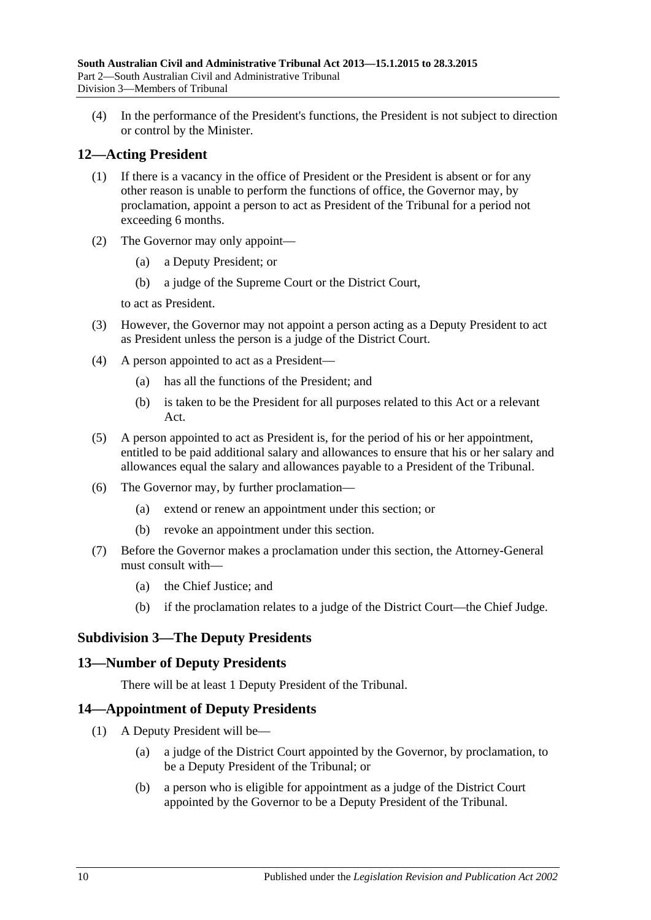(4) In the performance of the President's functions, the President is not subject to direction or control by the Minister.

## <span id="page-9-0"></span>**12—Acting President**

- (1) If there is a vacancy in the office of President or the President is absent or for any other reason is unable to perform the functions of office, the Governor may, by proclamation, appoint a person to act as President of the Tribunal for a period not exceeding 6 months.
- (2) The Governor may only appoint—
	- (a) a Deputy President; or
	- (b) a judge of the Supreme Court or the District Court,

to act as President.

- (3) However, the Governor may not appoint a person acting as a Deputy President to act as President unless the person is a judge of the District Court.
- (4) A person appointed to act as a President—
	- (a) has all the functions of the President; and
	- (b) is taken to be the President for all purposes related to this Act or a relevant Act.
- (5) A person appointed to act as President is, for the period of his or her appointment, entitled to be paid additional salary and allowances to ensure that his or her salary and allowances equal the salary and allowances payable to a President of the Tribunal.
- (6) The Governor may, by further proclamation—
	- (a) extend or renew an appointment under this section; or
	- (b) revoke an appointment under this section.
- (7) Before the Governor makes a proclamation under this section, the Attorney-General must consult with—
	- (a) the Chief Justice; and
	- (b) if the proclamation relates to a judge of the District Court—the Chief Judge.

## <span id="page-9-1"></span>**Subdivision 3—The Deputy Presidents**

## <span id="page-9-2"></span>**13—Number of Deputy Presidents**

There will be at least 1 Deputy President of the Tribunal.

## <span id="page-9-3"></span>**14—Appointment of Deputy Presidents**

- <span id="page-9-5"></span><span id="page-9-4"></span>(1) A Deputy President will be—
	- (a) a judge of the District Court appointed by the Governor, by proclamation, to be a Deputy President of the Tribunal; or
	- (b) a person who is eligible for appointment as a judge of the District Court appointed by the Governor to be a Deputy President of the Tribunal.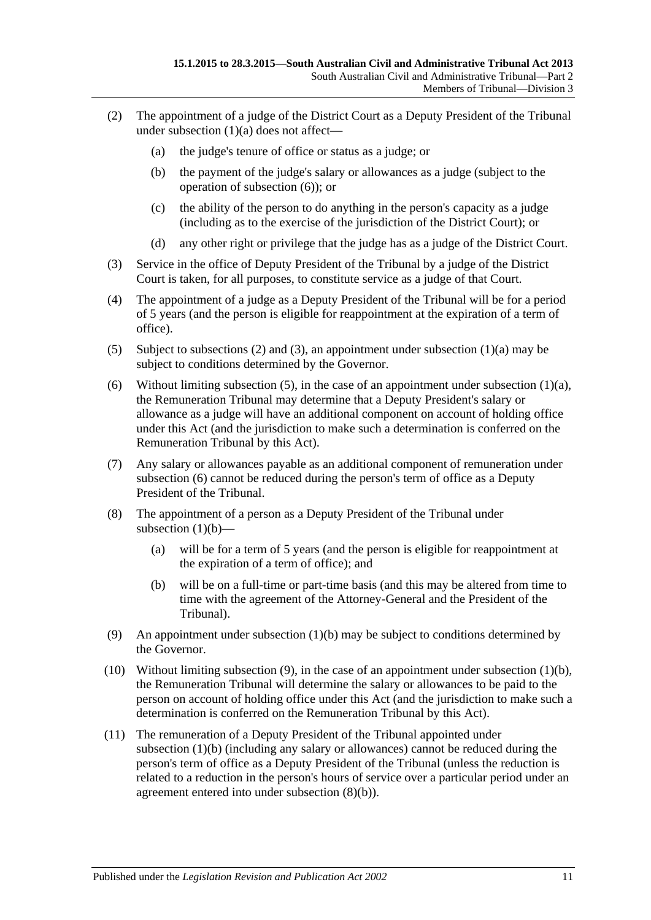- <span id="page-10-1"></span>(2) The appointment of a judge of the District Court as a Deputy President of the Tribunal under [subsection](#page-9-4) (1)(a) does not affect—
	- (a) the judge's tenure of office or status as a judge; or
	- (b) the payment of the judge's salary or allowances as a judge (subject to the operation of [subsection](#page-10-0) (6)); or
	- (c) the ability of the person to do anything in the person's capacity as a judge (including as to the exercise of the jurisdiction of the District Court); or
	- (d) any other right or privilege that the judge has as a judge of the District Court.
- <span id="page-10-2"></span>(3) Service in the office of Deputy President of the Tribunal by a judge of the District Court is taken, for all purposes, to constitute service as a judge of that Court.
- (4) The appointment of a judge as a Deputy President of the Tribunal will be for a period of 5 years (and the person is eligible for reappointment at the expiration of a term of office).
- <span id="page-10-3"></span>(5) Subject to [subsections \(2\)](#page-10-1) and [\(3\),](#page-10-2) an appointment under [subsection](#page-9-4) (1)(a) may be subject to conditions determined by the Governor.
- <span id="page-10-0"></span>(6) Without limiting [subsection](#page-9-4) (5), in the case of an appointment under subsection (1)(a), the Remuneration Tribunal may determine that a Deputy President's salary or allowance as a judge will have an additional component on account of holding office under this Act (and the jurisdiction to make such a determination is conferred on the Remuneration Tribunal by this Act).
- (7) Any salary or allowances payable as an additional component of remuneration under [subsection](#page-10-0) (6) cannot be reduced during the person's term of office as a Deputy President of the Tribunal.
- (8) The appointment of a person as a Deputy President of the Tribunal under [subsection](#page-9-5)  $(1)(b)$ —
	- (a) will be for a term of 5 years (and the person is eligible for reappointment at the expiration of a term of office); and
	- (b) will be on a full-time or part-time basis (and this may be altered from time to time with the agreement of the Attorney-General and the President of the Tribunal).
- <span id="page-10-5"></span><span id="page-10-4"></span>(9) An appointment under [subsection](#page-9-5) (1)(b) may be subject to conditions determined by the Governor.
- (10) Without limiting [subsection](#page-10-4) (9), in the case of an appointment under [subsection](#page-9-5) (1)(b), the Remuneration Tribunal will determine the salary or allowances to be paid to the person on account of holding office under this Act (and the jurisdiction to make such a determination is conferred on the Remuneration Tribunal by this Act).
- (11) The remuneration of a Deputy President of the Tribunal appointed under [subsection](#page-9-5) (1)(b) (including any salary or allowances) cannot be reduced during the person's term of office as a Deputy President of the Tribunal (unless the reduction is related to a reduction in the person's hours of service over a particular period under an agreement entered into under [subsection](#page-10-5) (8)(b)).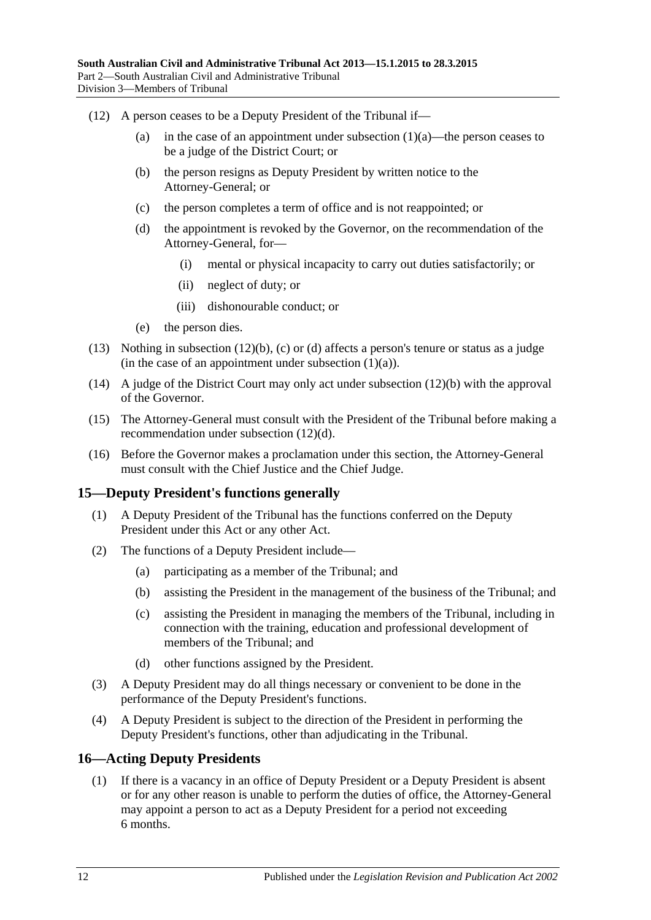- <span id="page-11-4"></span><span id="page-11-3"></span><span id="page-11-2"></span>(12) A person ceases to be a Deputy President of the Tribunal if
	- (a) in the case of an appointment under [subsection](#page-9-4)  $(1)(a)$ —the person ceases to be a judge of the District Court; or
	- (b) the person resigns as Deputy President by written notice to the Attorney-General; or
	- (c) the person completes a term of office and is not reappointed; or
	- (d) the appointment is revoked by the Governor, on the recommendation of the Attorney-General, for—
		- (i) mental or physical incapacity to carry out duties satisfactorily; or
		- (ii) neglect of duty; or
		- (iii) dishonourable conduct; or
	- (e) the person dies.
- (13) Nothing in [subsection](#page-11-2) (12)(b), [\(c\)](#page-11-3) or [\(d\)](#page-11-4) affects a person's tenure or status as a judge (in the case of an appointment under [subsection](#page-9-4)  $(1)(a)$ ).
- (14) A judge of the District Court may only act under [subsection](#page-11-2) (12)(b) with the approval of the Governor.
- (15) The Attorney-General must consult with the President of the Tribunal before making a recommendation under [subsection](#page-11-4) (12)(d).
- (16) Before the Governor makes a proclamation under this section, the Attorney-General must consult with the Chief Justice and the Chief Judge.

#### <span id="page-11-0"></span>**15—Deputy President's functions generally**

- (1) A Deputy President of the Tribunal has the functions conferred on the Deputy President under this Act or any other Act.
- (2) The functions of a Deputy President include—
	- (a) participating as a member of the Tribunal; and
	- (b) assisting the President in the management of the business of the Tribunal; and
	- (c) assisting the President in managing the members of the Tribunal, including in connection with the training, education and professional development of members of the Tribunal; and
	- (d) other functions assigned by the President.
- (3) A Deputy President may do all things necessary or convenient to be done in the performance of the Deputy President's functions.
- (4) A Deputy President is subject to the direction of the President in performing the Deputy President's functions, other than adjudicating in the Tribunal.

#### <span id="page-11-1"></span>**16—Acting Deputy Presidents**

(1) If there is a vacancy in an office of Deputy President or a Deputy President is absent or for any other reason is unable to perform the duties of office, the Attorney-General may appoint a person to act as a Deputy President for a period not exceeding 6 months.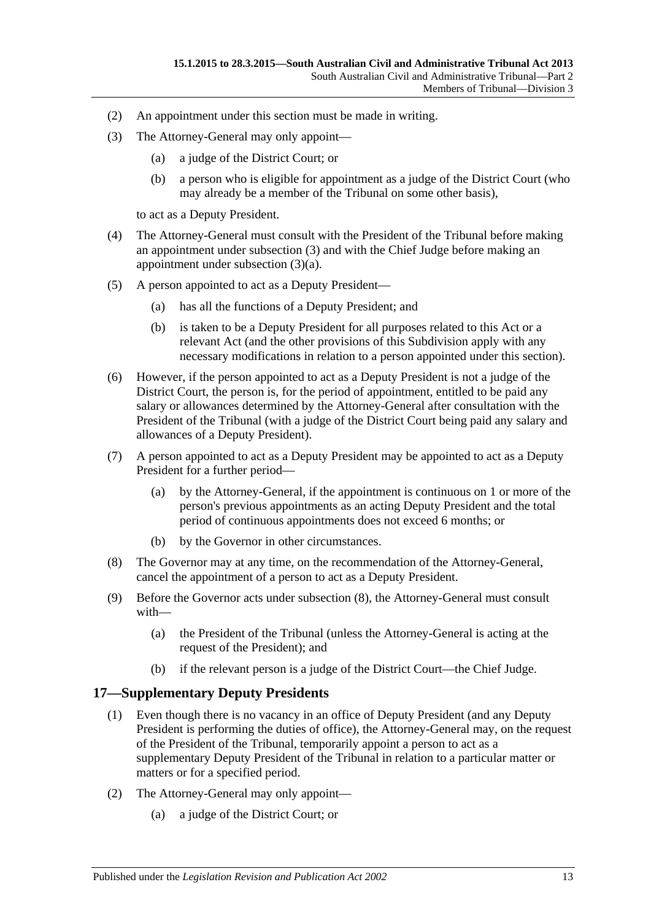- (2) An appointment under this section must be made in writing.
- <span id="page-12-2"></span><span id="page-12-1"></span>(3) The Attorney-General may only appoint—
	- (a) a judge of the District Court; or
	- (b) a person who is eligible for appointment as a judge of the District Court (who may already be a member of the Tribunal on some other basis),

to act as a Deputy President.

- (4) The Attorney-General must consult with the President of the Tribunal before making an appointment under [subsection](#page-12-1) (3) and with the Chief Judge before making an appointment under [subsection](#page-12-2) (3)(a).
- (5) A person appointed to act as a Deputy President—
	- (a) has all the functions of a Deputy President; and
	- (b) is taken to be a Deputy President for all purposes related to this Act or a relevant Act (and the other provisions of this Subdivision apply with any necessary modifications in relation to a person appointed under this section).
- (6) However, if the person appointed to act as a Deputy President is not a judge of the District Court, the person is, for the period of appointment, entitled to be paid any salary or allowances determined by the Attorney-General after consultation with the President of the Tribunal (with a judge of the District Court being paid any salary and allowances of a Deputy President).
- (7) A person appointed to act as a Deputy President may be appointed to act as a Deputy President for a further period—
	- (a) by the Attorney-General, if the appointment is continuous on 1 or more of the person's previous appointments as an acting Deputy President and the total period of continuous appointments does not exceed 6 months; or
	- (b) by the Governor in other circumstances.
- <span id="page-12-3"></span>(8) The Governor may at any time, on the recommendation of the Attorney-General, cancel the appointment of a person to act as a Deputy President.
- (9) Before the Governor acts under [subsection](#page-12-3) (8), the Attorney-General must consult with—
	- (a) the President of the Tribunal (unless the Attorney-General is acting at the request of the President); and
	- (b) if the relevant person is a judge of the District Court—the Chief Judge.

## <span id="page-12-0"></span>**17—Supplementary Deputy Presidents**

- (1) Even though there is no vacancy in an office of Deputy President (and any Deputy President is performing the duties of office), the Attorney-General may, on the request of the President of the Tribunal, temporarily appoint a person to act as a supplementary Deputy President of the Tribunal in relation to a particular matter or matters or for a specified period.
- <span id="page-12-4"></span>(2) The Attorney-General may only appoint—
	- (a) a judge of the District Court; or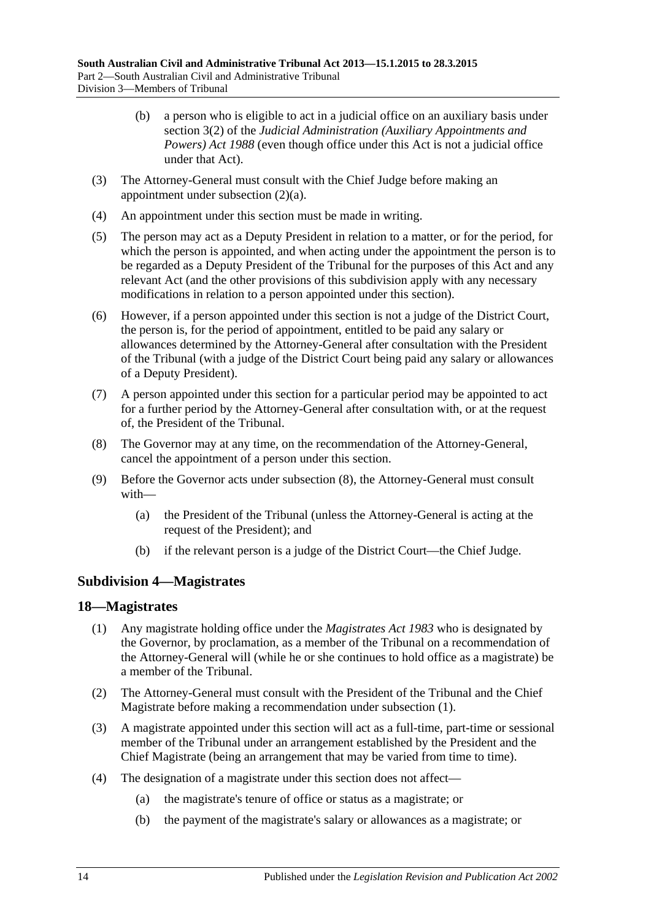- (b) a person who is eligible to act in a judicial office on an auxiliary basis under section 3(2) of the *[Judicial Administration \(Auxiliary Appointments and](http://www.legislation.sa.gov.au/index.aspx?action=legref&type=act&legtitle=Judicial%20Administration%20(Auxiliary%20Appointments%20and%20Powers)%20Act%201988)  [Powers\) Act](http://www.legislation.sa.gov.au/index.aspx?action=legref&type=act&legtitle=Judicial%20Administration%20(Auxiliary%20Appointments%20and%20Powers)%20Act%201988) 1988* (even though office under this Act is not a judicial office under that Act).
- (3) The Attorney-General must consult with the Chief Judge before making an appointment under [subsection](#page-12-4) (2)(a).
- (4) An appointment under this section must be made in writing.
- (5) The person may act as a Deputy President in relation to a matter, or for the period, for which the person is appointed, and when acting under the appointment the person is to be regarded as a Deputy President of the Tribunal for the purposes of this Act and any relevant Act (and the other provisions of this subdivision apply with any necessary modifications in relation to a person appointed under this section).
- (6) However, if a person appointed under this section is not a judge of the District Court, the person is, for the period of appointment, entitled to be paid any salary or allowances determined by the Attorney-General after consultation with the President of the Tribunal (with a judge of the District Court being paid any salary or allowances of a Deputy President).
- (7) A person appointed under this section for a particular period may be appointed to act for a further period by the Attorney-General after consultation with, or at the request of, the President of the Tribunal.
- <span id="page-13-2"></span>(8) The Governor may at any time, on the recommendation of the Attorney-General, cancel the appointment of a person under this section.
- (9) Before the Governor acts under [subsection](#page-13-2) (8), the Attorney-General must consult with—
	- (a) the President of the Tribunal (unless the Attorney-General is acting at the request of the President); and
	- (b) if the relevant person is a judge of the District Court—the Chief Judge.

## <span id="page-13-0"></span>**Subdivision 4—Magistrates**

#### <span id="page-13-3"></span><span id="page-13-1"></span>**18—Magistrates**

- (1) Any magistrate holding office under the *[Magistrates Act](http://www.legislation.sa.gov.au/index.aspx?action=legref&type=act&legtitle=Magistrates%20Act%201983) 1983* who is designated by the Governor, by proclamation, as a member of the Tribunal on a recommendation of the Attorney-General will (while he or she continues to hold office as a magistrate) be a member of the Tribunal.
- (2) The Attorney-General must consult with the President of the Tribunal and the Chief Magistrate before making a recommendation under [subsection](#page-13-3) (1).
- (3) A magistrate appointed under this section will act as a full-time, part-time or sessional member of the Tribunal under an arrangement established by the President and the Chief Magistrate (being an arrangement that may be varied from time to time).
- (4) The designation of a magistrate under this section does not affect—
	- (a) the magistrate's tenure of office or status as a magistrate; or
	- (b) the payment of the magistrate's salary or allowances as a magistrate; or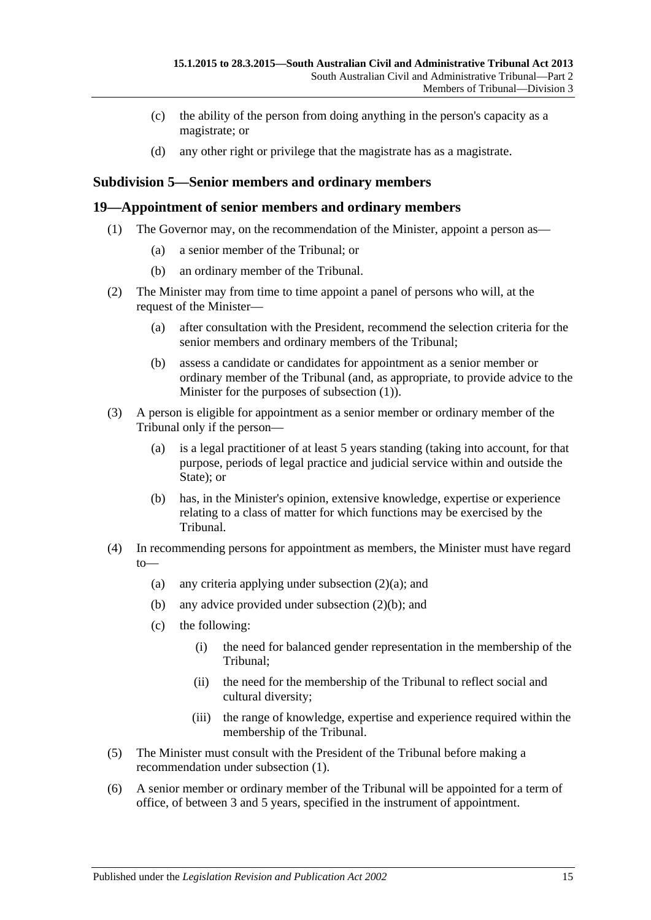- (c) the ability of the person from doing anything in the person's capacity as a magistrate; or
- (d) any other right or privilege that the magistrate has as a magistrate.

## <span id="page-14-0"></span>**Subdivision 5—Senior members and ordinary members**

#### <span id="page-14-2"></span><span id="page-14-1"></span>**19—Appointment of senior members and ordinary members**

- (1) The Governor may, on the recommendation of the Minister, appoint a person as—
	- (a) a senior member of the Tribunal; or
	- (b) an ordinary member of the Tribunal.
- <span id="page-14-5"></span><span id="page-14-3"></span>(2) The Minister may from time to time appoint a panel of persons who will, at the request of the Minister—
	- (a) after consultation with the President, recommend the selection criteria for the senior members and ordinary members of the Tribunal;
	- (b) assess a candidate or candidates for appointment as a senior member or ordinary member of the Tribunal (and, as appropriate, to provide advice to the Minister for the purposes of [subsection](#page-14-2) (1)).
- <span id="page-14-4"></span>(3) A person is eligible for appointment as a senior member or ordinary member of the Tribunal only if the person—
	- (a) is a legal practitioner of at least 5 years standing (taking into account, for that purpose, periods of legal practice and judicial service within and outside the State); or
	- (b) has, in the Minister's opinion, extensive knowledge, expertise or experience relating to a class of matter for which functions may be exercised by the Tribunal.
- (4) In recommending persons for appointment as members, the Minister must have regard to
	- (a) any criteria applying under [subsection](#page-14-3)  $(2)(a)$ ; and
	- (b) any advice provided under [subsection](#page-14-4) (2)(b); and
	- (c) the following:
		- (i) the need for balanced gender representation in the membership of the Tribunal;
		- (ii) the need for the membership of the Tribunal to reflect social and cultural diversity;
		- (iii) the range of knowledge, expertise and experience required within the membership of the Tribunal.
- (5) The Minister must consult with the President of the Tribunal before making a recommendation under [subsection](#page-14-2) (1).
- (6) A senior member or ordinary member of the Tribunal will be appointed for a term of office, of between 3 and 5 years, specified in the instrument of appointment.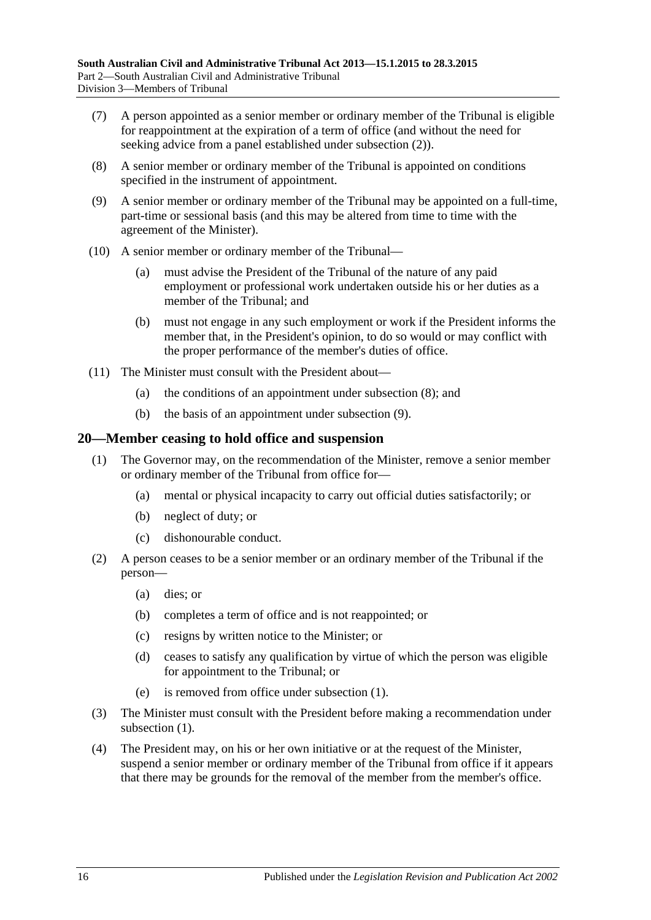- (7) A person appointed as a senior member or ordinary member of the Tribunal is eligible for reappointment at the expiration of a term of office (and without the need for seeking advice from a panel established under [subsection](#page-14-5) (2)).
- <span id="page-15-1"></span>(8) A senior member or ordinary member of the Tribunal is appointed on conditions specified in the instrument of appointment.
- <span id="page-15-2"></span>(9) A senior member or ordinary member of the Tribunal may be appointed on a full-time, part-time or sessional basis (and this may be altered from time to time with the agreement of the Minister).
- (10) A senior member or ordinary member of the Tribunal—
	- (a) must advise the President of the Tribunal of the nature of any paid employment or professional work undertaken outside his or her duties as a member of the Tribunal; and
	- (b) must not engage in any such employment or work if the President informs the member that, in the President's opinion, to do so would or may conflict with the proper performance of the member's duties of office.
- (11) The Minister must consult with the President about—
	- (a) the conditions of an appointment under [subsection](#page-15-1) (8); and
	- (b) the basis of an appointment under [subsection](#page-15-2) (9).

#### <span id="page-15-3"></span><span id="page-15-0"></span>**20—Member ceasing to hold office and suspension**

- (1) The Governor may, on the recommendation of the Minister, remove a senior member or ordinary member of the Tribunal from office for—
	- (a) mental or physical incapacity to carry out official duties satisfactorily; or
	- (b) neglect of duty; or
	- (c) dishonourable conduct.
- (2) A person ceases to be a senior member or an ordinary member of the Tribunal if the person—
	- (a) dies; or
	- (b) completes a term of office and is not reappointed; or
	- (c) resigns by written notice to the Minister; or
	- (d) ceases to satisfy any qualification by virtue of which the person was eligible for appointment to the Tribunal; or
	- (e) is removed from office under [subsection](#page-15-3) (1).
- (3) The Minister must consult with the President before making a recommendation under [subsection](#page-15-3)  $(1)$ .
- <span id="page-15-4"></span>(4) The President may, on his or her own initiative or at the request of the Minister, suspend a senior member or ordinary member of the Tribunal from office if it appears that there may be grounds for the removal of the member from the member's office.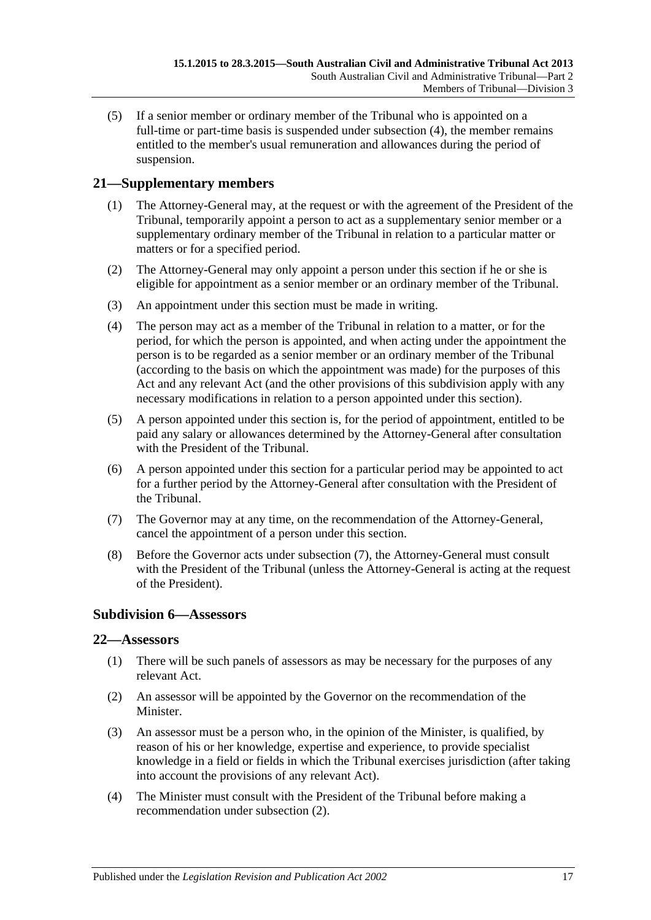(5) If a senior member or ordinary member of the Tribunal who is appointed on a full-time or part-time basis is suspended under [subsection](#page-15-4) (4), the member remains entitled to the member's usual remuneration and allowances during the period of suspension.

# <span id="page-16-0"></span>**21—Supplementary members**

- (1) The Attorney-General may, at the request or with the agreement of the President of the Tribunal, temporarily appoint a person to act as a supplementary senior member or a supplementary ordinary member of the Tribunal in relation to a particular matter or matters or for a specified period.
- (2) The Attorney-General may only appoint a person under this section if he or she is eligible for appointment as a senior member or an ordinary member of the Tribunal.
- (3) An appointment under this section must be made in writing.
- (4) The person may act as a member of the Tribunal in relation to a matter, or for the period, for which the person is appointed, and when acting under the appointment the person is to be regarded as a senior member or an ordinary member of the Tribunal (according to the basis on which the appointment was made) for the purposes of this Act and any relevant Act (and the other provisions of this subdivision apply with any necessary modifications in relation to a person appointed under this section).
- (5) A person appointed under this section is, for the period of appointment, entitled to be paid any salary or allowances determined by the Attorney-General after consultation with the President of the Tribunal.
- (6) A person appointed under this section for a particular period may be appointed to act for a further period by the Attorney-General after consultation with the President of the Tribunal.
- <span id="page-16-3"></span>(7) The Governor may at any time, on the recommendation of the Attorney-General, cancel the appointment of a person under this section.
- (8) Before the Governor acts under [subsection](#page-16-3) (7), the Attorney-General must consult with the President of the Tribunal (unless the Attorney-General is acting at the request of the President).

## <span id="page-16-1"></span>**Subdivision 6—Assessors**

## <span id="page-16-2"></span>**22—Assessors**

- (1) There will be such panels of assessors as may be necessary for the purposes of any relevant Act.
- <span id="page-16-4"></span>(2) An assessor will be appointed by the Governor on the recommendation of the Minister.
- (3) An assessor must be a person who, in the opinion of the Minister, is qualified, by reason of his or her knowledge, expertise and experience, to provide specialist knowledge in a field or fields in which the Tribunal exercises jurisdiction (after taking into account the provisions of any relevant Act).
- (4) The Minister must consult with the President of the Tribunal before making a recommendation under [subsection](#page-16-4) (2).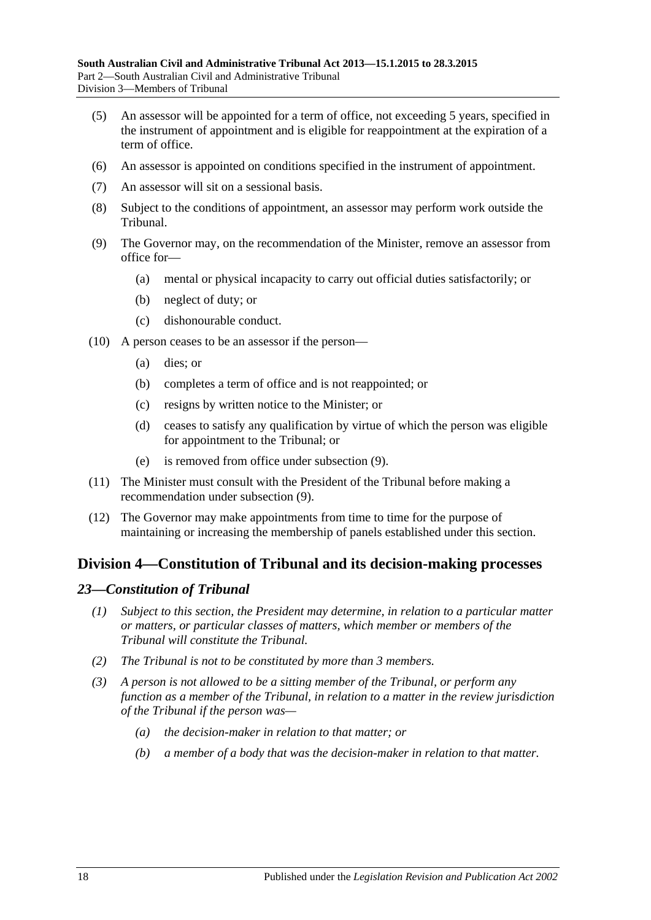- (5) An assessor will be appointed for a term of office, not exceeding 5 years, specified in the instrument of appointment and is eligible for reappointment at the expiration of a term of office.
- (6) An assessor is appointed on conditions specified in the instrument of appointment.
- (7) An assessor will sit on a sessional basis.
- (8) Subject to the conditions of appointment, an assessor may perform work outside the Tribunal.
- <span id="page-17-2"></span>(9) The Governor may, on the recommendation of the Minister, remove an assessor from office for—
	- (a) mental or physical incapacity to carry out official duties satisfactorily; or
	- (b) neglect of duty; or
	- (c) dishonourable conduct.
- (10) A person ceases to be an assessor if the person—
	- (a) dies; or
	- (b) completes a term of office and is not reappointed; or
	- (c) resigns by written notice to the Minister; or
	- (d) ceases to satisfy any qualification by virtue of which the person was eligible for appointment to the Tribunal; or
	- (e) is removed from office under [subsection](#page-17-2) (9).
- (11) The Minister must consult with the President of the Tribunal before making a recommendation under [subsection](#page-17-2) (9).
- (12) The Governor may make appointments from time to time for the purpose of maintaining or increasing the membership of panels established under this section.

# <span id="page-17-0"></span>**Division 4—Constitution of Tribunal and its decision-making processes**

#### <span id="page-17-1"></span>*23—Constitution of Tribunal*

- *(1) Subject to this section, the President may determine, in relation to a particular matter or matters, or particular classes of matters, which member or members of the Tribunal will constitute the Tribunal.*
- *(2) The Tribunal is not to be constituted by more than 3 members.*
- *(3) A person is not allowed to be a sitting member of the Tribunal, or perform any function as a member of the Tribunal, in relation to a matter in the review jurisdiction of the Tribunal if the person was—*
	- *(a) the decision-maker in relation to that matter; or*
	- *(b) a member of a body that was the decision-maker in relation to that matter.*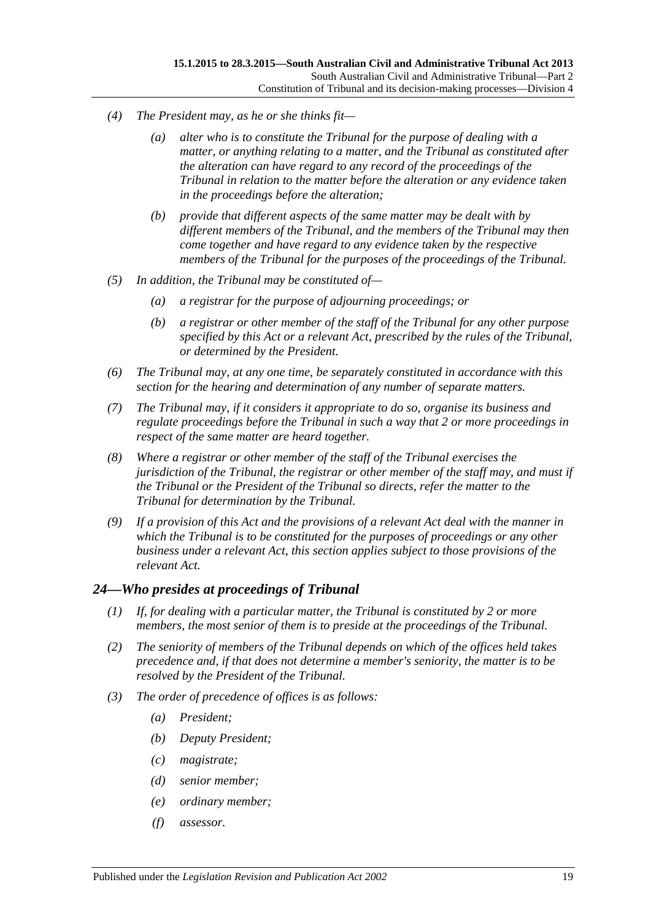- *(4) The President may, as he or she thinks fit—*
	- *(a) alter who is to constitute the Tribunal for the purpose of dealing with a matter, or anything relating to a matter, and the Tribunal as constituted after the alteration can have regard to any record of the proceedings of the Tribunal in relation to the matter before the alteration or any evidence taken in the proceedings before the alteration;*
	- *(b) provide that different aspects of the same matter may be dealt with by different members of the Tribunal, and the members of the Tribunal may then come together and have regard to any evidence taken by the respective members of the Tribunal for the purposes of the proceedings of the Tribunal.*
- *(5) In addition, the Tribunal may be constituted of—*
	- *(a) a registrar for the purpose of adjourning proceedings; or*
	- *(b) a registrar or other member of the staff of the Tribunal for any other purpose specified by this Act or a relevant Act, prescribed by the rules of the Tribunal, or determined by the President.*
- *(6) The Tribunal may, at any one time, be separately constituted in accordance with this section for the hearing and determination of any number of separate matters.*
- *(7) The Tribunal may, if it considers it appropriate to do so, organise its business and regulate proceedings before the Tribunal in such a way that 2 or more proceedings in respect of the same matter are heard together.*
- *(8) Where a registrar or other member of the staff of the Tribunal exercises the jurisdiction of the Tribunal, the registrar or other member of the staff may, and must if the Tribunal or the President of the Tribunal so directs, refer the matter to the Tribunal for determination by the Tribunal.*
- *(9) If a provision of this Act and the provisions of a relevant Act deal with the manner in which the Tribunal is to be constituted for the purposes of proceedings or any other business under a relevant Act, this section applies subject to those provisions of the relevant Act.*

## <span id="page-18-0"></span>*24—Who presides at proceedings of Tribunal*

- *(1) If, for dealing with a particular matter, the Tribunal is constituted by 2 or more members, the most senior of them is to preside at the proceedings of the Tribunal.*
- *(2) The seniority of members of the Tribunal depends on which of the offices held takes precedence and, if that does not determine a member's seniority, the matter is to be resolved by the President of the Tribunal.*
- *(3) The order of precedence of offices is as follows:*
	- *(a) President;*
	- *(b) Deputy President;*
	- *(c) magistrate;*
	- *(d) senior member;*
	- *(e) ordinary member;*
	- *(f) assessor.*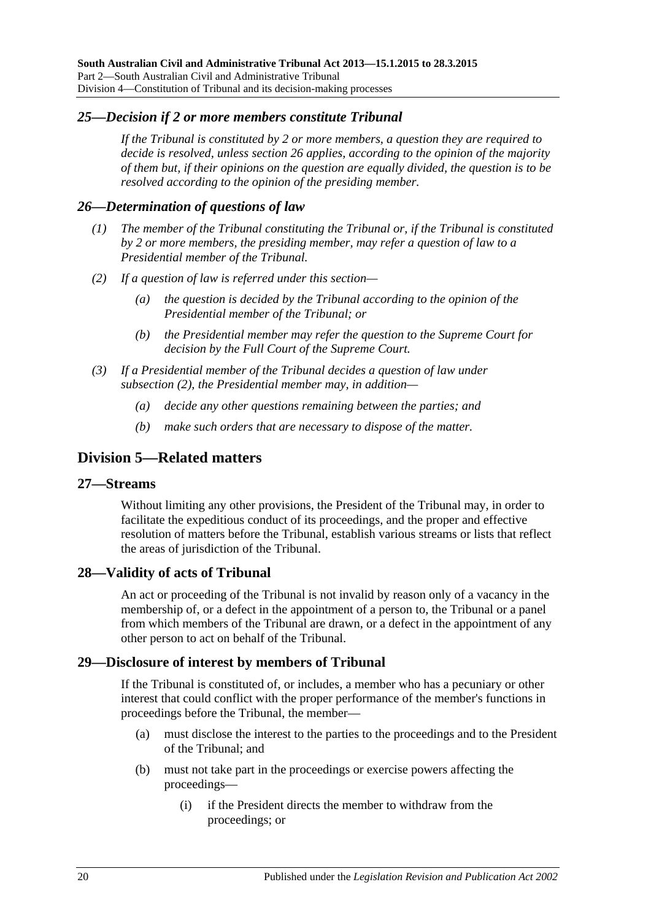## <span id="page-19-0"></span>*25—Decision if 2 or more members constitute Tribunal*

*If the Tribunal is constituted by 2 or more members, a question they are required to decide is resolved, unless [section](#page-19-1) 26 applies, according to the opinion of the majority of them but, if their opinions on the question are equally divided, the question is to be resolved according to the opinion of the presiding member.*

## <span id="page-19-1"></span>*26—Determination of questions of law*

- *(1) The member of the Tribunal constituting the Tribunal or, if the Tribunal is constituted by 2 or more members, the presiding member, may refer a question of law to a Presidential member of the Tribunal.*
- <span id="page-19-6"></span>*(2) If a question of law is referred under this section—*
	- *(a) the question is decided by the Tribunal according to the opinion of the Presidential member of the Tribunal; or*
	- *(b) the Presidential member may refer the question to the Supreme Court for decision by the Full Court of the Supreme Court.*
- *(3) If a Presidential member of the Tribunal decides a question of law under [subsection](#page-19-6) (2), the Presidential member may, in addition—*
	- *(a) decide any other questions remaining between the parties; and*
	- *(b) make such orders that are necessary to dispose of the matter.*

# <span id="page-19-2"></span>**Division 5—Related matters**

#### <span id="page-19-3"></span>**27—Streams**

Without limiting any other provisions, the President of the Tribunal may, in order to facilitate the expeditious conduct of its proceedings, and the proper and effective resolution of matters before the Tribunal, establish various streams or lists that reflect the areas of jurisdiction of the Tribunal.

#### <span id="page-19-4"></span>**28—Validity of acts of Tribunal**

An act or proceeding of the Tribunal is not invalid by reason only of a vacancy in the membership of, or a defect in the appointment of a person to, the Tribunal or a panel from which members of the Tribunal are drawn, or a defect in the appointment of any other person to act on behalf of the Tribunal.

## <span id="page-19-5"></span>**29—Disclosure of interest by members of Tribunal**

If the Tribunal is constituted of, or includes, a member who has a pecuniary or other interest that could conflict with the proper performance of the member's functions in proceedings before the Tribunal, the member—

- (a) must disclose the interest to the parties to the proceedings and to the President of the Tribunal; and
- (b) must not take part in the proceedings or exercise powers affecting the proceedings—
	- (i) if the President directs the member to withdraw from the proceedings; or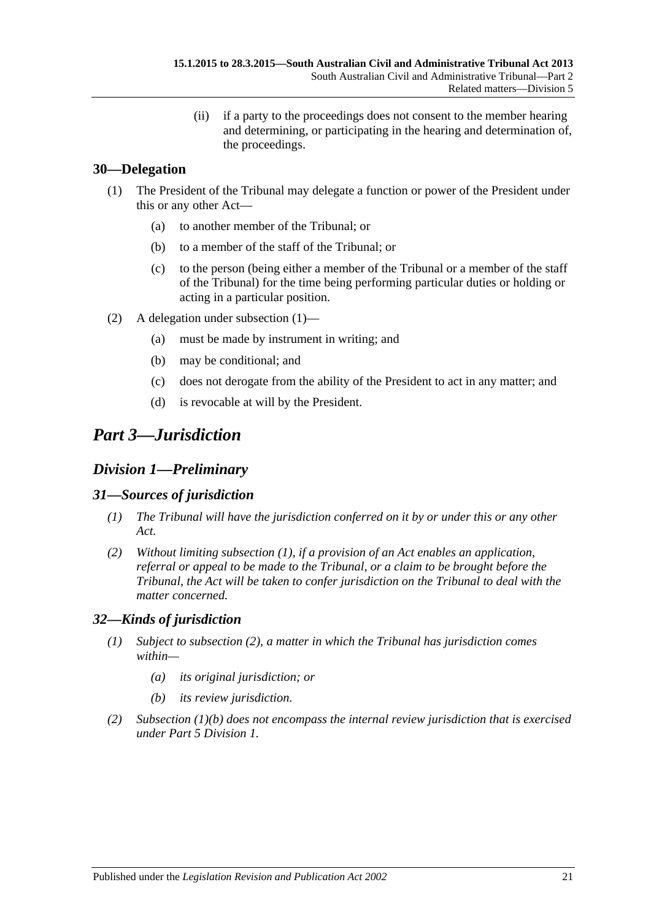(ii) if a party to the proceedings does not consent to the member hearing and determining, or participating in the hearing and determination of, the proceedings.

## <span id="page-20-5"></span><span id="page-20-0"></span>**30—Delegation**

- (1) The President of the Tribunal may delegate a function or power of the President under this or any other Act—
	- (a) to another member of the Tribunal; or
	- (b) to a member of the staff of the Tribunal; or
	- (c) to the person (being either a member of the Tribunal or a member of the staff of the Tribunal) for the time being performing particular duties or holding or acting in a particular position.
- (2) A delegation under [subsection](#page-20-5) (1)—
	- (a) must be made by instrument in writing; and
	- (b) may be conditional; and
	- (c) does not derogate from the ability of the President to act in any matter; and
	- (d) is revocable at will by the President.

# <span id="page-20-1"></span>*Part 3—Jurisdiction*

# <span id="page-20-2"></span>*Division 1—Preliminary*

## <span id="page-20-6"></span><span id="page-20-3"></span>*31—Sources of jurisdiction*

- *(1) The Tribunal will have the jurisdiction conferred on it by or under this or any other Act.*
- *(2) Without limiting [subsection](#page-20-6) (1), if a provision of an Act enables an application, referral or appeal to be made to the Tribunal, or a claim to be brought before the Tribunal, the Act will be taken to confer jurisdiction on the Tribunal to deal with the matter concerned.*

## <span id="page-20-4"></span>*32—Kinds of jurisdiction*

- *(1) Subject to [subsection](#page-20-7) (2), a matter in which the Tribunal has jurisdiction comes within—*
	- *(a) its original jurisdiction; or*
	- *(b) its review jurisdiction.*
- <span id="page-20-8"></span><span id="page-20-7"></span>*(2) [Subsection](#page-20-8) (1)(b) does not encompass the internal review jurisdiction that is exercised under Part [5 Division](#page-37-4) 1.*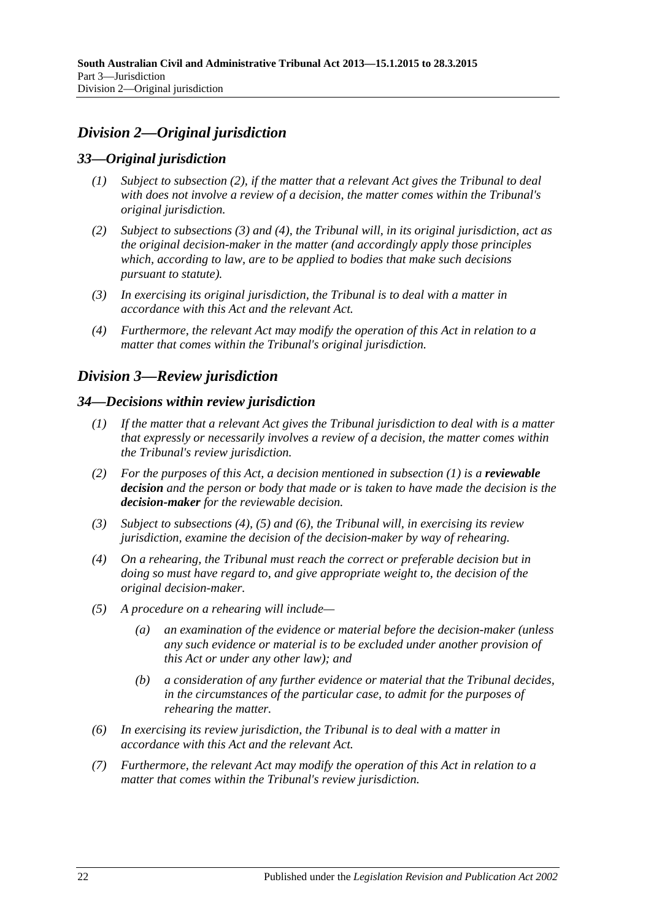# <span id="page-21-0"></span>*Division 2—Original jurisdiction*

## <span id="page-21-1"></span>*33—Original jurisdiction*

- *(1) Subject to [subsection](#page-21-5) (2), if the matter that a relevant Act gives the Tribunal to deal with does not involve a review of a decision, the matter comes within the Tribunal's original jurisdiction.*
- <span id="page-21-5"></span>*(2) Subject to [subsections](#page-21-6) (3) and [\(4\),](#page-21-7) the Tribunal will, in its original jurisdiction, act as the original decision-maker in the matter (and accordingly apply those principles which, according to law, are to be applied to bodies that make such decisions pursuant to statute).*
- <span id="page-21-6"></span>*(3) In exercising its original jurisdiction, the Tribunal is to deal with a matter in accordance with this Act and the relevant Act.*
- <span id="page-21-7"></span>*(4) Furthermore, the relevant Act may modify the operation of this Act in relation to a matter that comes within the Tribunal's original jurisdiction.*

# <span id="page-21-2"></span>*Division 3—Review jurisdiction*

#### <span id="page-21-8"></span><span id="page-21-3"></span>*34—Decisions within review jurisdiction*

- *(1) If the matter that a relevant Act gives the Tribunal jurisdiction to deal with is a matter that expressly or necessarily involves a review of a decision, the matter comes within the Tribunal's review jurisdiction.*
- <span id="page-21-4"></span>*(2) For the purposes of this Act, a decision mentioned in [subsection](#page-21-8) (1) is a reviewable decision and the person or body that made or is taken to have made the decision is the decision-maker for the reviewable decision.*
- *(3) Subject to [subsections \(4\),](#page-21-9) [\(5\)](#page-21-10) and [\(6\),](#page-21-11) the Tribunal will, in exercising its review jurisdiction, examine the decision of the decision-maker by way of rehearing.*
- <span id="page-21-9"></span>*(4) On a rehearing, the Tribunal must reach the correct or preferable decision but in doing so must have regard to, and give appropriate weight to, the decision of the original decision-maker.*
- <span id="page-21-10"></span>*(5) A procedure on a rehearing will include—*
	- *(a) an examination of the evidence or material before the decision-maker (unless any such evidence or material is to be excluded under another provision of this Act or under any other law); and*
	- *(b) a consideration of any further evidence or material that the Tribunal decides, in the circumstances of the particular case, to admit for the purposes of rehearing the matter.*
- <span id="page-21-11"></span>*(6) In exercising its review jurisdiction, the Tribunal is to deal with a matter in accordance with this Act and the relevant Act.*
- *(7) Furthermore, the relevant Act may modify the operation of this Act in relation to a matter that comes within the Tribunal's review jurisdiction.*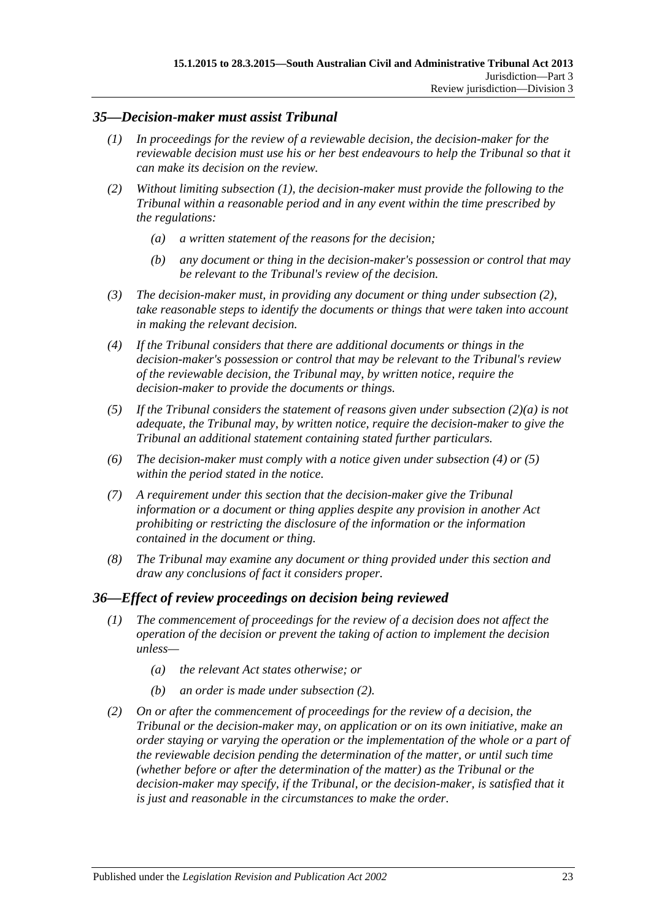## <span id="page-22-2"></span><span id="page-22-0"></span>*35—Decision-maker must assist Tribunal*

- *(1) In proceedings for the review of a reviewable decision, the decision-maker for the reviewable decision must use his or her best endeavours to help the Tribunal so that it can make its decision on the review.*
- <span id="page-22-4"></span><span id="page-22-3"></span>*(2) Without limiting [subsection](#page-22-2) (1), the decision-maker must provide the following to the Tribunal within a reasonable period and in any event within the time prescribed by the regulations:*
	- *(a) a written statement of the reasons for the decision;*
	- *(b) any document or thing in the decision-maker's possession or control that may be relevant to the Tribunal's review of the decision.*
- *(3) The decision-maker must, in providing any document or thing under [subsection](#page-22-3) (2), take reasonable steps to identify the documents or things that were taken into account in making the relevant decision.*
- <span id="page-22-5"></span>*(4) If the Tribunal considers that there are additional documents or things in the decision-maker's possession or control that may be relevant to the Tribunal's review of the reviewable decision, the Tribunal may, by written notice, require the decision-maker to provide the documents or things.*
- <span id="page-22-6"></span>*(5) If the Tribunal considers the statement of reasons given under [subsection](#page-22-4) (2)(a) is not adequate, the Tribunal may, by written notice, require the decision-maker to give the Tribunal an additional statement containing stated further particulars.*
- *(6) The decision-maker must comply with a notice given under [subsection](#page-22-5) (4) or [\(5\)](#page-22-6) within the period stated in the notice.*
- *(7) A requirement under this section that the decision-maker give the Tribunal information or a document or thing applies despite any provision in another Act prohibiting or restricting the disclosure of the information or the information contained in the document or thing.*
- *(8) The Tribunal may examine any document or thing provided under this section and draw any conclusions of fact it considers proper.*

## <span id="page-22-1"></span>*36—Effect of review proceedings on decision being reviewed*

- *(1) The commencement of proceedings for the review of a decision does not affect the operation of the decision or prevent the taking of action to implement the decision unless—*
	- *(a) the relevant Act states otherwise; or*
	- *(b) an order is made under [subsection](#page-22-7) (2).*
- <span id="page-22-7"></span>*(2) On or after the commencement of proceedings for the review of a decision, the Tribunal or the decision-maker may, on application or on its own initiative, make an order staying or varying the operation or the implementation of the whole or a part of the reviewable decision pending the determination of the matter, or until such time (whether before or after the determination of the matter) as the Tribunal or the*  decision-maker may specify, if the Tribunal, or the decision-maker, is satisfied that it *is just and reasonable in the circumstances to make the order.*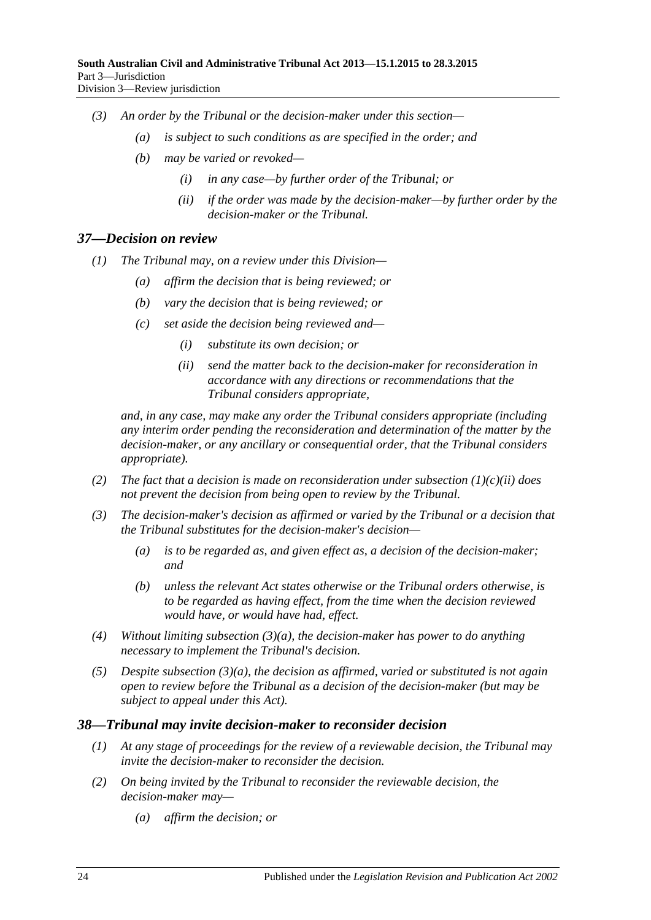- *(3) An order by the Tribunal or the decision-maker under this section—*
	- *(a) is subject to such conditions as are specified in the order; and*
	- *(b) may be varied or revoked—*
		- *(i) in any case—by further order of the Tribunal; or*
		- *(ii) if the order was made by the decision-maker—by further order by the decision-maker or the Tribunal.*

#### <span id="page-23-0"></span>*37—Decision on review*

- *(1) The Tribunal may, on a review under this Division—*
	- *(a) affirm the decision that is being reviewed; or*
	- *(b) vary the decision that is being reviewed; or*
	- *(c) set aside the decision being reviewed and—*
		- *(i) substitute its own decision; or*
		- *(ii) send the matter back to the decision-maker for reconsideration in accordance with any directions or recommendations that the Tribunal considers appropriate,*

<span id="page-23-2"></span>*and, in any case, may make any order the Tribunal considers appropriate (including any interim order pending the reconsideration and determination of the matter by the decision-maker, or any ancillary or consequential order, that the Tribunal considers appropriate).*

- *(2) The fact that a decision is made on reconsideration under [subsection](#page-23-2) (1)(c)(ii) does not prevent the decision from being open to review by the Tribunal.*
- <span id="page-23-3"></span>*(3) The decision-maker's decision as affirmed or varied by the Tribunal or a decision that the Tribunal substitutes for the decision-maker's decision—*
	- *(a) is to be regarded as, and given effect as, a decision of the decision-maker; and*
	- *(b) unless the relevant Act states otherwise or the Tribunal orders otherwise, is to be regarded as having effect, from the time when the decision reviewed would have, or would have had, effect.*
- *(4) Without limiting [subsection](#page-23-3) (3)(a), the decision-maker has power to do anything necessary to implement the Tribunal's decision.*
- *(5) Despite [subsection](#page-23-3) (3)(a), the decision as affirmed, varied or substituted is not again open to review before the Tribunal as a decision of the decision-maker (but may be subject to appeal under this Act).*

#### <span id="page-23-1"></span>*38—Tribunal may invite decision-maker to reconsider decision*

- *(1) At any stage of proceedings for the review of a reviewable decision, the Tribunal may invite the decision-maker to reconsider the decision.*
- *(2) On being invited by the Tribunal to reconsider the reviewable decision, the decision-maker may—*
	- *(a) affirm the decision; or*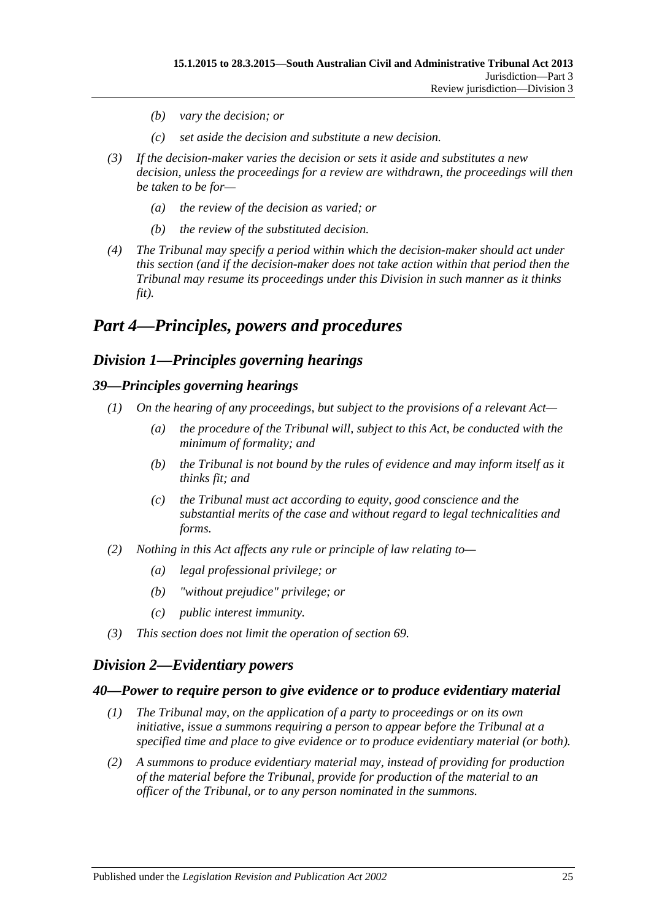- *(b) vary the decision; or*
- *(c) set aside the decision and substitute a new decision.*
- *(3) If the decision-maker varies the decision or sets it aside and substitutes a new decision, unless the proceedings for a review are withdrawn, the proceedings will then be taken to be for—*
	- *(a) the review of the decision as varied; or*
	- *(b) the review of the substituted decision.*
- *(4) The Tribunal may specify a period within which the decision-maker should act under this section (and if the decision-maker does not take action within that period then the Tribunal may resume its proceedings under this Division in such manner as it thinks fit).*

# <span id="page-24-0"></span>*Part 4—Principles, powers and procedures*

# <span id="page-24-1"></span>*Division 1—Principles governing hearings*

## <span id="page-24-2"></span>*39—Principles governing hearings*

- *(1) On the hearing of any proceedings, but subject to the provisions of a relevant Act—*
	- *(a) the procedure of the Tribunal will, subject to this Act, be conducted with the minimum of formality; and*
	- *(b) the Tribunal is not bound by the rules of evidence and may inform itself as it thinks fit; and*
	- *(c) the Tribunal must act according to equity, good conscience and the substantial merits of the case and without regard to legal technicalities and forms.*
- *(2) Nothing in this Act affects any rule or principle of law relating to—*
	- *(a) legal professional privilege; or*
	- *(b) "without prejudice" privilege; or*
	- *(c) public interest immunity.*
- *(3) This section does not limit the operation of [section](#page-37-2) 69.*

# <span id="page-24-3"></span>*Division 2—Evidentiary powers*

## <span id="page-24-4"></span>*40—Power to require person to give evidence or to produce evidentiary material*

- *(1) The Tribunal may, on the application of a party to proceedings or on its own initiative, issue a summons requiring a person to appear before the Tribunal at a specified time and place to give evidence or to produce evidentiary material (or both).*
- *(2) A summons to produce evidentiary material may, instead of providing for production of the material before the Tribunal, provide for production of the material to an officer of the Tribunal, or to any person nominated in the summons.*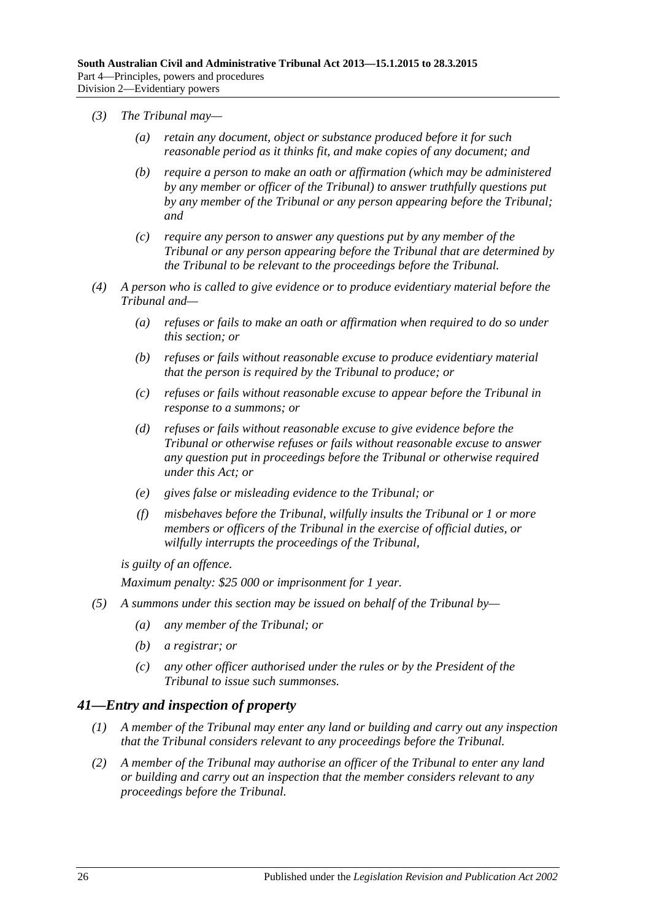- *(3) The Tribunal may—*
	- *(a) retain any document, object or substance produced before it for such reasonable period as it thinks fit, and make copies of any document; and*
	- *(b) require a person to make an oath or affirmation (which may be administered by any member or officer of the Tribunal) to answer truthfully questions put by any member of the Tribunal or any person appearing before the Tribunal; and*
	- *(c) require any person to answer any questions put by any member of the Tribunal or any person appearing before the Tribunal that are determined by the Tribunal to be relevant to the proceedings before the Tribunal.*
- *(4) A person who is called to give evidence or to produce evidentiary material before the Tribunal and—*
	- *(a) refuses or fails to make an oath or affirmation when required to do so under this section; or*
	- *(b) refuses or fails without reasonable excuse to produce evidentiary material that the person is required by the Tribunal to produce; or*
	- *(c) refuses or fails without reasonable excuse to appear before the Tribunal in response to a summons; or*
	- *(d) refuses or fails without reasonable excuse to give evidence before the Tribunal or otherwise refuses or fails without reasonable excuse to answer any question put in proceedings before the Tribunal or otherwise required under this Act; or*
	- *(e) gives false or misleading evidence to the Tribunal; or*
	- *(f) misbehaves before the Tribunal, wilfully insults the Tribunal or 1 or more members or officers of the Tribunal in the exercise of official duties, or wilfully interrupts the proceedings of the Tribunal,*

*is guilty of an offence.*

*Maximum penalty: \$25 000 or imprisonment for 1 year.*

- *(5) A summons under this section may be issued on behalf of the Tribunal by—*
	- *(a) any member of the Tribunal; or*
	- *(b) a registrar; or*
	- *(c) any other officer authorised under the rules or by the President of the Tribunal to issue such summonses.*

## <span id="page-25-0"></span>*41—Entry and inspection of property*

- *(1) A member of the Tribunal may enter any land or building and carry out any inspection that the Tribunal considers relevant to any proceedings before the Tribunal.*
- *(2) A member of the Tribunal may authorise an officer of the Tribunal to enter any land or building and carry out an inspection that the member considers relevant to any proceedings before the Tribunal.*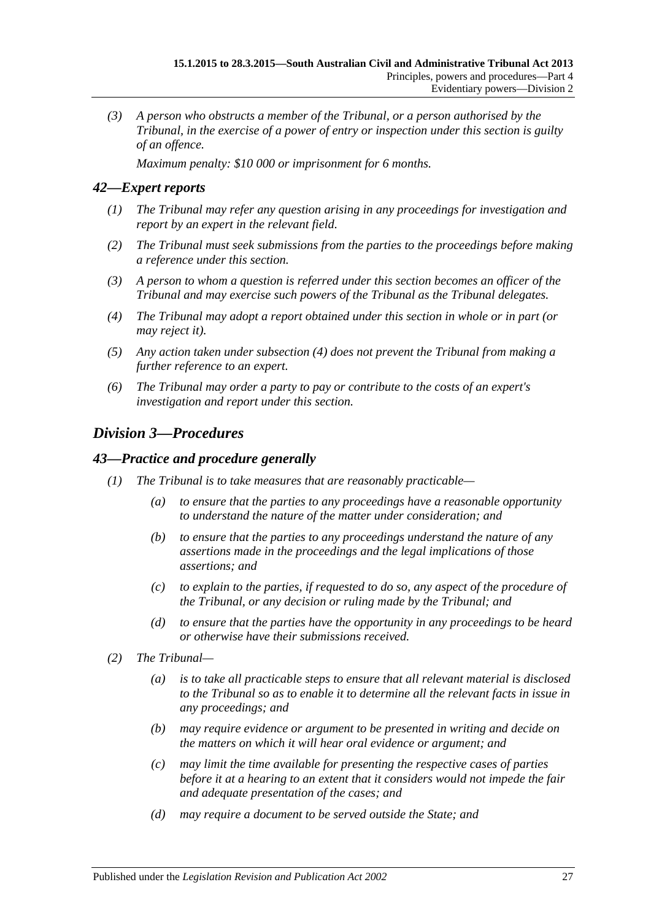*(3) A person who obstructs a member of the Tribunal, or a person authorised by the Tribunal, in the exercise of a power of entry or inspection under this section is guilty of an offence.*

*Maximum penalty: \$10 000 or imprisonment for 6 months.*

## <span id="page-26-0"></span>*42—Expert reports*

- *(1) The Tribunal may refer any question arising in any proceedings for investigation and report by an expert in the relevant field.*
- *(2) The Tribunal must seek submissions from the parties to the proceedings before making a reference under this section.*
- *(3) A person to whom a question is referred under this section becomes an officer of the Tribunal and may exercise such powers of the Tribunal as the Tribunal delegates.*
- <span id="page-26-3"></span>*(4) The Tribunal may adopt a report obtained under this section in whole or in part (or may reject it).*
- *(5) Any action taken under [subsection](#page-26-3) (4) does not prevent the Tribunal from making a further reference to an expert.*
- *(6) The Tribunal may order a party to pay or contribute to the costs of an expert's investigation and report under this section.*

# <span id="page-26-1"></span>*Division 3—Procedures*

#### <span id="page-26-2"></span>*43—Practice and procedure generally*

- *(1) The Tribunal is to take measures that are reasonably practicable—*
	- *(a) to ensure that the parties to any proceedings have a reasonable opportunity to understand the nature of the matter under consideration; and*
	- *(b) to ensure that the parties to any proceedings understand the nature of any assertions made in the proceedings and the legal implications of those assertions; and*
	- *(c) to explain to the parties, if requested to do so, any aspect of the procedure of the Tribunal, or any decision or ruling made by the Tribunal; and*
	- *(d) to ensure that the parties have the opportunity in any proceedings to be heard or otherwise have their submissions received.*
- *(2) The Tribunal—*
	- *(a) is to take all practicable steps to ensure that all relevant material is disclosed to the Tribunal so as to enable it to determine all the relevant facts in issue in any proceedings; and*
	- *(b) may require evidence or argument to be presented in writing and decide on the matters on which it will hear oral evidence or argument; and*
	- *(c) may limit the time available for presenting the respective cases of parties before it at a hearing to an extent that it considers would not impede the fair and adequate presentation of the cases; and*
	- *(d) may require a document to be served outside the State; and*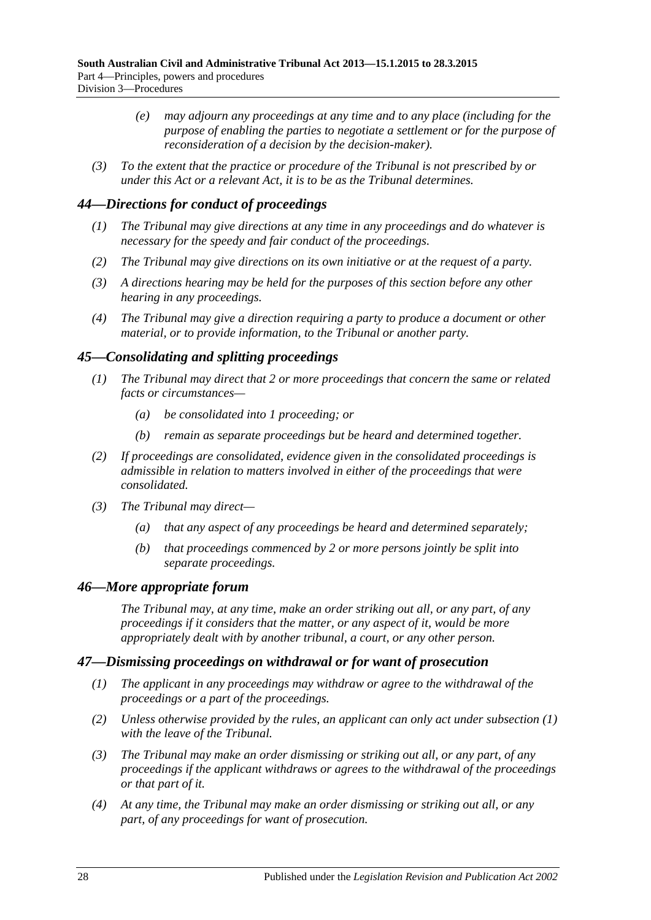- *(e) may adjourn any proceedings at any time and to any place (including for the purpose of enabling the parties to negotiate a settlement or for the purpose of reconsideration of a decision by the decision-maker).*
- *(3) To the extent that the practice or procedure of the Tribunal is not prescribed by or under this Act or a relevant Act, it is to be as the Tribunal determines.*

## <span id="page-27-0"></span>*44—Directions for conduct of proceedings*

- *(1) The Tribunal may give directions at any time in any proceedings and do whatever is necessary for the speedy and fair conduct of the proceedings.*
- *(2) The Tribunal may give directions on its own initiative or at the request of a party.*
- *(3) A directions hearing may be held for the purposes of this section before any other hearing in any proceedings.*
- *(4) The Tribunal may give a direction requiring a party to produce a document or other material, or to provide information, to the Tribunal or another party.*

## <span id="page-27-1"></span>*45—Consolidating and splitting proceedings*

- *(1) The Tribunal may direct that 2 or more proceedings that concern the same or related facts or circumstances—*
	- *(a) be consolidated into 1 proceeding; or*
	- *(b) remain as separate proceedings but be heard and determined together.*
- *(2) If proceedings are consolidated, evidence given in the consolidated proceedings is admissible in relation to matters involved in either of the proceedings that were consolidated.*
- *(3) The Tribunal may direct—*
	- *(a) that any aspect of any proceedings be heard and determined separately;*
	- *(b) that proceedings commenced by 2 or more persons jointly be split into separate proceedings.*

## <span id="page-27-2"></span>*46—More appropriate forum*

*The Tribunal may, at any time, make an order striking out all, or any part, of any proceedings if it considers that the matter, or any aspect of it, would be more appropriately dealt with by another tribunal, a court, or any other person.*

## <span id="page-27-4"></span><span id="page-27-3"></span>*47—Dismissing proceedings on withdrawal or for want of prosecution*

- *(1) The applicant in any proceedings may withdraw or agree to the withdrawal of the proceedings or a part of the proceedings.*
- *(2) Unless otherwise provided by the rules, an applicant can only act under [subsection](#page-27-4) (1) with the leave of the Tribunal.*
- *(3) The Tribunal may make an order dismissing or striking out all, or any part, of any proceedings if the applicant withdraws or agrees to the withdrawal of the proceedings or that part of it.*
- <span id="page-27-5"></span>*(4) At any time, the Tribunal may make an order dismissing or striking out all, or any part, of any proceedings for want of prosecution.*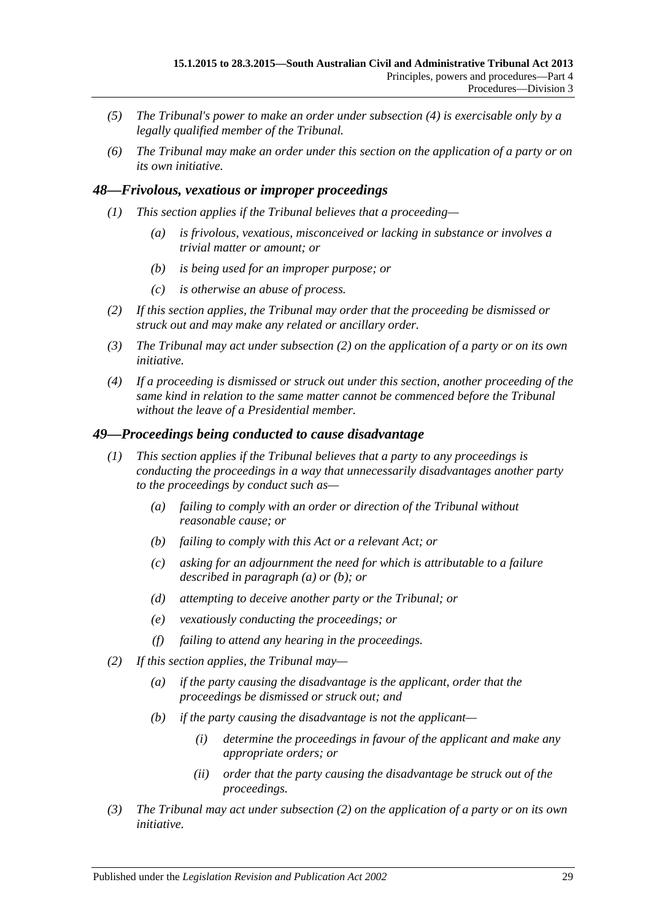- *(5) The Tribunal's power to make an order under [subsection](#page-27-5) (4) is exercisable only by a legally qualified member of the Tribunal.*
- *(6) The Tribunal may make an order under this section on the application of a party or on its own initiative.*

## <span id="page-28-0"></span>*48—Frivolous, vexatious or improper proceedings*

- *(1) This section applies if the Tribunal believes that a proceeding—*
	- *(a) is frivolous, vexatious, misconceived or lacking in substance or involves a trivial matter or amount; or*
	- *(b) is being used for an improper purpose; or*
	- *(c) is otherwise an abuse of process.*
- <span id="page-28-2"></span>*(2) If this section applies, the Tribunal may order that the proceeding be dismissed or struck out and may make any related or ancillary order.*
- *(3) The Tribunal may act under [subsection](#page-28-2) (2) on the application of a party or on its own initiative.*
- *(4) If a proceeding is dismissed or struck out under this section, another proceeding of the same kind in relation to the same matter cannot be commenced before the Tribunal without the leave of a Presidential member.*

#### <span id="page-28-1"></span>*49—Proceedings being conducted to cause disadvantage*

- <span id="page-28-4"></span><span id="page-28-3"></span>*(1) This section applies if the Tribunal believes that a party to any proceedings is conducting the proceedings in a way that unnecessarily disadvantages another party to the proceedings by conduct such as—*
	- *(a) failing to comply with an order or direction of the Tribunal without reasonable cause; or*
	- *(b) failing to comply with this Act or a relevant Act; or*
	- *(c) asking for an adjournment the need for which is attributable to a failure described in [paragraph](#page-28-3) (a) or [\(b\);](#page-28-4) or*
	- *(d) attempting to deceive another party or the Tribunal; or*
	- *(e) vexatiously conducting the proceedings; or*
	- *(f) failing to attend any hearing in the proceedings.*
- <span id="page-28-5"></span>*(2) If this section applies, the Tribunal may—*
	- *(a) if the party causing the disadvantage is the applicant, order that the proceedings be dismissed or struck out; and*
	- *(b) if the party causing the disadvantage is not the applicant—*
		- *(i) determine the proceedings in favour of the applicant and make any appropriate orders; or*
		- *(ii) order that the party causing the disadvantage be struck out of the proceedings.*
- *(3) The Tribunal may act under [subsection](#page-28-5) (2) on the application of a party or on its own initiative.*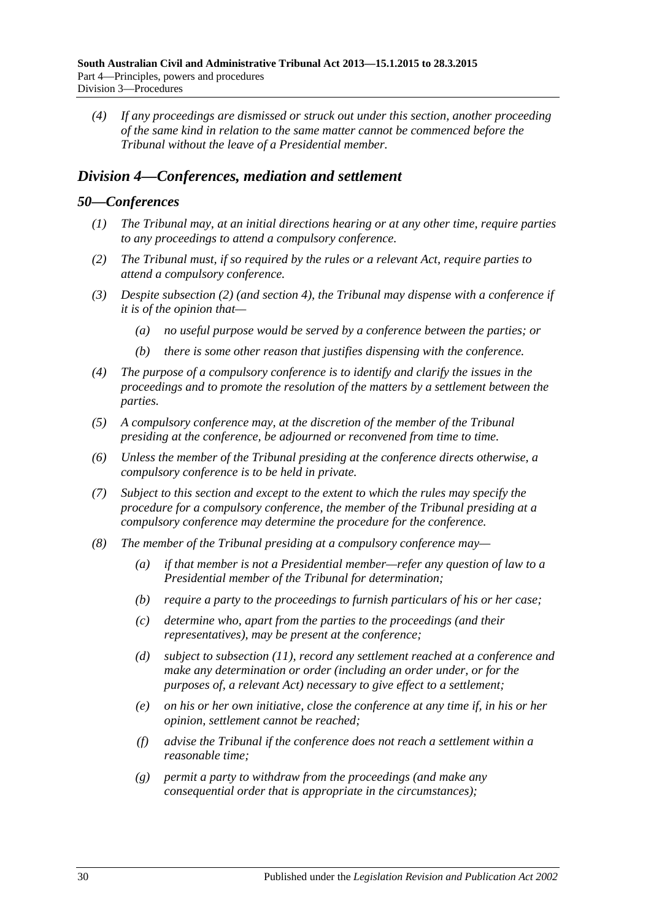*(4) If any proceedings are dismissed or struck out under this section, another proceeding of the same kind in relation to the same matter cannot be commenced before the Tribunal without the leave of a Presidential member.*

## <span id="page-29-0"></span>*Division 4—Conferences, mediation and settlement*

#### <span id="page-29-1"></span>*50—Conferences*

- *(1) The Tribunal may, at an initial directions hearing or at any other time, require parties to any proceedings to attend a compulsory conference.*
- <span id="page-29-2"></span>*(2) The Tribunal must, if so required by the rules or a relevant Act, require parties to attend a compulsory conference.*
- *(3) Despite [subsection](#page-29-2) (2) (and [section](#page-5-0) 4), the Tribunal may dispense with a conference if it is of the opinion that—*
	- *(a) no useful purpose would be served by a conference between the parties; or*
	- *(b) there is some other reason that justifies dispensing with the conference.*
- *(4) The purpose of a compulsory conference is to identify and clarify the issues in the proceedings and to promote the resolution of the matters by a settlement between the parties.*
- *(5) A compulsory conference may, at the discretion of the member of the Tribunal presiding at the conference, be adjourned or reconvened from time to time.*
- *(6) Unless the member of the Tribunal presiding at the conference directs otherwise, a compulsory conference is to be held in private.*
- *(7) Subject to this section and except to the extent to which the rules may specify the procedure for a compulsory conference, the member of the Tribunal presiding at a compulsory conference may determine the procedure for the conference.*
- <span id="page-29-3"></span>*(8) The member of the Tribunal presiding at a compulsory conference may—*
	- *(a) if that member is not a Presidential member—refer any question of law to a Presidential member of the Tribunal for determination;*
	- *(b) require a party to the proceedings to furnish particulars of his or her case;*
	- *(c) determine who, apart from the parties to the proceedings (and their representatives), may be present at the conference;*
	- *(d) subject to [subsection](#page-30-1) (11), record any settlement reached at a conference and make any determination or order (including an order under, or for the purposes of, a relevant Act) necessary to give effect to a settlement;*
	- *(e) on his or her own initiative, close the conference at any time if, in his or her opinion, settlement cannot be reached;*
	- *(f) advise the Tribunal if the conference does not reach a settlement within a reasonable time;*
	- *(g) permit a party to withdraw from the proceedings (and make any consequential order that is appropriate in the circumstances);*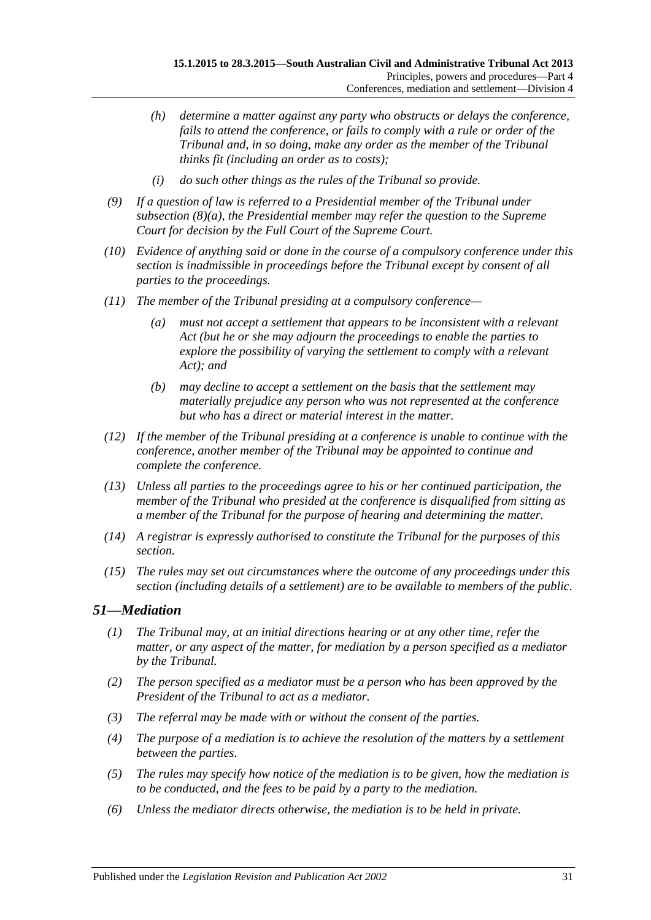- *(h) determine a matter against any party who obstructs or delays the conference, fails to attend the conference, or fails to comply with a rule or order of the Tribunal and, in so doing, make any order as the member of the Tribunal thinks fit (including an order as to costs);*
- *(i) do such other things as the rules of the Tribunal so provide.*
- *(9) If a question of law is referred to a Presidential member of the Tribunal under [subsection](#page-29-3) (8)(a), the Presidential member may refer the question to the Supreme Court for decision by the Full Court of the Supreme Court.*
- *(10) Evidence of anything said or done in the course of a compulsory conference under this section is inadmissible in proceedings before the Tribunal except by consent of all parties to the proceedings.*
- <span id="page-30-1"></span>*(11) The member of the Tribunal presiding at a compulsory conference—*
	- *(a) must not accept a settlement that appears to be inconsistent with a relevant Act (but he or she may adjourn the proceedings to enable the parties to explore the possibility of varying the settlement to comply with a relevant Act); and*
	- *(b) may decline to accept a settlement on the basis that the settlement may materially prejudice any person who was not represented at the conference but who has a direct or material interest in the matter.*
- *(12) If the member of the Tribunal presiding at a conference is unable to continue with the conference, another member of the Tribunal may be appointed to continue and complete the conference.*
- *(13) Unless all parties to the proceedings agree to his or her continued participation, the member of the Tribunal who presided at the conference is disqualified from sitting as a member of the Tribunal for the purpose of hearing and determining the matter.*
- *(14) A registrar is expressly authorised to constitute the Tribunal for the purposes of this section.*
- *(15) The rules may set out circumstances where the outcome of any proceedings under this section (including details of a settlement) are to be available to members of the public.*

# <span id="page-30-0"></span>*51—Mediation*

- *(1) The Tribunal may, at an initial directions hearing or at any other time, refer the matter, or any aspect of the matter, for mediation by a person specified as a mediator by the Tribunal.*
- *(2) The person specified as a mediator must be a person who has been approved by the President of the Tribunal to act as a mediator.*
- *(3) The referral may be made with or without the consent of the parties.*
- *(4) The purpose of a mediation is to achieve the resolution of the matters by a settlement between the parties.*
- *(5) The rules may specify how notice of the mediation is to be given, how the mediation is to be conducted, and the fees to be paid by a party to the mediation.*
- *(6) Unless the mediator directs otherwise, the mediation is to be held in private.*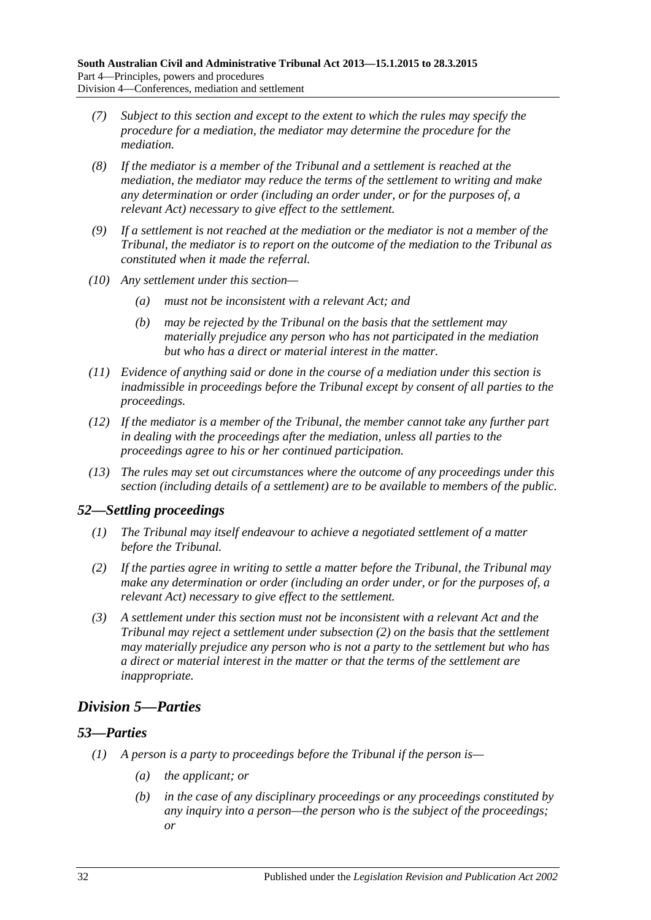- *(7) Subject to this section and except to the extent to which the rules may specify the procedure for a mediation, the mediator may determine the procedure for the mediation.*
- *(8) If the mediator is a member of the Tribunal and a settlement is reached at the mediation, the mediator may reduce the terms of the settlement to writing and make any determination or order (including an order under, or for the purposes of, a relevant Act) necessary to give effect to the settlement.*
- *(9) If a settlement is not reached at the mediation or the mediator is not a member of the Tribunal, the mediator is to report on the outcome of the mediation to the Tribunal as constituted when it made the referral.*
- *(10) Any settlement under this section—*
	- *(a) must not be inconsistent with a relevant Act; and*
	- *(b) may be rejected by the Tribunal on the basis that the settlement may materially prejudice any person who has not participated in the mediation but who has a direct or material interest in the matter.*
- *(11) Evidence of anything said or done in the course of a mediation under this section is inadmissible in proceedings before the Tribunal except by consent of all parties to the proceedings.*
- *(12) If the mediator is a member of the Tribunal, the member cannot take any further part in dealing with the proceedings after the mediation, unless all parties to the proceedings agree to his or her continued participation.*
- *(13) The rules may set out circumstances where the outcome of any proceedings under this section (including details of a settlement) are to be available to members of the public.*

## <span id="page-31-0"></span>*52—Settling proceedings*

- *(1) The Tribunal may itself endeavour to achieve a negotiated settlement of a matter before the Tribunal.*
- <span id="page-31-3"></span>*(2) If the parties agree in writing to settle a matter before the Tribunal, the Tribunal may make any determination or order (including an order under, or for the purposes of, a relevant Act) necessary to give effect to the settlement.*
- *(3) A settlement under this section must not be inconsistent with a relevant Act and the Tribunal may reject a settlement under [subsection](#page-31-3) (2) on the basis that the settlement may materially prejudice any person who is not a party to the settlement but who has a direct or material interest in the matter or that the terms of the settlement are inappropriate.*

# <span id="page-31-1"></span>*Division 5—Parties*

## <span id="page-31-4"></span><span id="page-31-2"></span>*53—Parties*

- *(1) A person is a party to proceedings before the Tribunal if the person is—*
	- *(a) the applicant; or*
	- *(b) in the case of any disciplinary proceedings or any proceedings constituted by any inquiry into a person—the person who is the subject of the proceedings; or*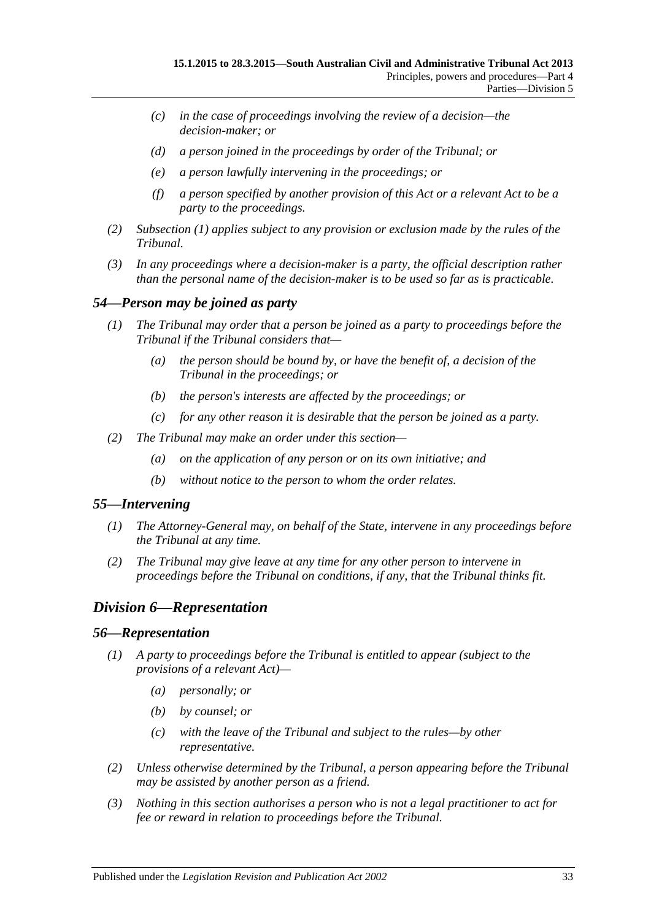- *(c) in the case of proceedings involving the review of a decision—the decision-maker; or*
- *(d) a person joined in the proceedings by order of the Tribunal; or*
- *(e) a person lawfully intervening in the proceedings; or*
- *(f) a person specified by another provision of this Act or a relevant Act to be a party to the proceedings.*
- *(2) [Subsection](#page-31-4) (1) applies subject to any provision or exclusion made by the rules of the Tribunal.*
- *(3) In any proceedings where a decision-maker is a party, the official description rather than the personal name of the decision-maker is to be used so far as is practicable.*

## <span id="page-32-0"></span>*54—Person may be joined as party*

- *(1) The Tribunal may order that a person be joined as a party to proceedings before the Tribunal if the Tribunal considers that—*
	- *(a) the person should be bound by, or have the benefit of, a decision of the Tribunal in the proceedings; or*
	- *(b) the person's interests are affected by the proceedings; or*
	- *(c) for any other reason it is desirable that the person be joined as a party.*
- *(2) The Tribunal may make an order under this section—*
	- *(a) on the application of any person or on its own initiative; and*
	- *(b) without notice to the person to whom the order relates.*

## <span id="page-32-1"></span>*55—Intervening*

- *(1) The Attorney-General may, on behalf of the State, intervene in any proceedings before the Tribunal at any time.*
- *(2) The Tribunal may give leave at any time for any other person to intervene in proceedings before the Tribunal on conditions, if any, that the Tribunal thinks fit.*

# <span id="page-32-2"></span>*Division 6—Representation*

#### <span id="page-32-3"></span>*56—Representation*

- *(1) A party to proceedings before the Tribunal is entitled to appear (subject to the provisions of a relevant Act)—*
	- *(a) personally; or*
	- *(b) by counsel; or*
	- *(c) with the leave of the Tribunal and subject to the rules—by other representative.*
- *(2) Unless otherwise determined by the Tribunal, a person appearing before the Tribunal may be assisted by another person as a friend.*
- *(3) Nothing in this section authorises a person who is not a legal practitioner to act for fee or reward in relation to proceedings before the Tribunal.*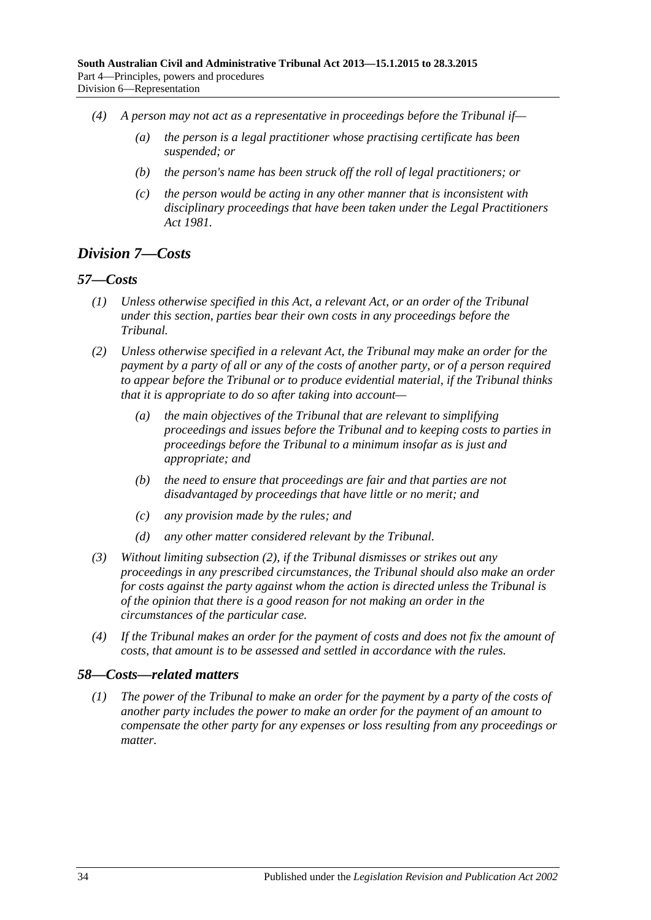- *(4) A person may not act as a representative in proceedings before the Tribunal if—*
	- *(a) the person is a legal practitioner whose practising certificate has been suspended; or*
	- *(b) the person's name has been struck off the roll of legal practitioners; or*
	- *(c) the person would be acting in any other manner that is inconsistent with disciplinary proceedings that have been taken under the [Legal Practitioners](http://www.legislation.sa.gov.au/index.aspx?action=legref&type=act&legtitle=Legal%20Practitioners%20Act%201981)  Act [1981.](http://www.legislation.sa.gov.au/index.aspx?action=legref&type=act&legtitle=Legal%20Practitioners%20Act%201981)*

# <span id="page-33-0"></span>*Division 7—Costs*

## <span id="page-33-1"></span>*57—Costs*

- *(1) Unless otherwise specified in this Act, a relevant Act, or an order of the Tribunal under this section, parties bear their own costs in any proceedings before the Tribunal.*
- <span id="page-33-3"></span>*(2) Unless otherwise specified in a relevant Act, the Tribunal may make an order for the payment by a party of all or any of the costs of another party, or of a person required to appear before the Tribunal or to produce evidential material, if the Tribunal thinks that it is appropriate to do so after taking into account—*
	- *(a) the main objectives of the Tribunal that are relevant to simplifying proceedings and issues before the Tribunal and to keeping costs to parties in proceedings before the Tribunal to a minimum insofar as is just and appropriate; and*
	- *(b) the need to ensure that proceedings are fair and that parties are not disadvantaged by proceedings that have little or no merit; and*
	- *(c) any provision made by the rules; and*
	- *(d) any other matter considered relevant by the Tribunal.*
- *(3) Without limiting [subsection](#page-33-3) (2), if the Tribunal dismisses or strikes out any proceedings in any prescribed circumstances, the Tribunal should also make an order for costs against the party against whom the action is directed unless the Tribunal is of the opinion that there is a good reason for not making an order in the circumstances of the particular case.*
- *(4) If the Tribunal makes an order for the payment of costs and does not fix the amount of costs, that amount is to be assessed and settled in accordance with the rules.*

## <span id="page-33-2"></span>*58—Costs—related matters*

*(1) The power of the Tribunal to make an order for the payment by a party of the costs of another party includes the power to make an order for the payment of an amount to compensate the other party for any expenses or loss resulting from any proceedings or matter.*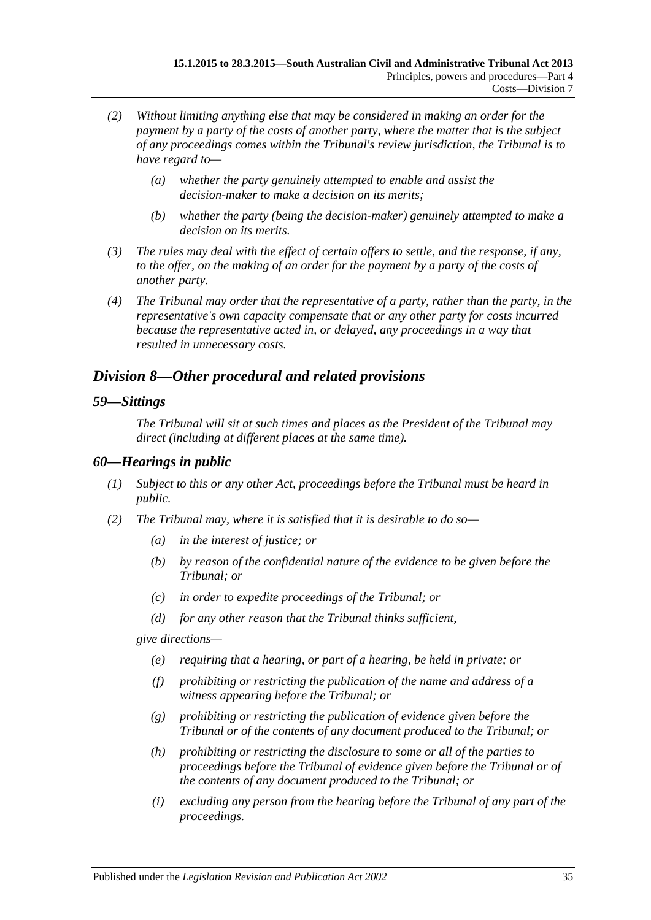- *(2) Without limiting anything else that may be considered in making an order for the payment by a party of the costs of another party, where the matter that is the subject of any proceedings comes within the Tribunal's review jurisdiction, the Tribunal is to have regard to—*
	- *(a) whether the party genuinely attempted to enable and assist the decision-maker to make a decision on its merits;*
	- *(b) whether the party (being the decision-maker) genuinely attempted to make a decision on its merits.*
- *(3) The rules may deal with the effect of certain offers to settle, and the response, if any, to the offer, on the making of an order for the payment by a party of the costs of another party.*
- *(4) The Tribunal may order that the representative of a party, rather than the party, in the representative's own capacity compensate that or any other party for costs incurred because the representative acted in, or delayed, any proceedings in a way that resulted in unnecessary costs.*

# <span id="page-34-0"></span>*Division 8—Other procedural and related provisions*

#### <span id="page-34-1"></span>*59—Sittings*

*The Tribunal will sit at such times and places as the President of the Tribunal may direct (including at different places at the same time).*

#### <span id="page-34-2"></span>*60—Hearings in public*

- *(1) Subject to this or any other Act, proceedings before the Tribunal must be heard in public.*
- <span id="page-34-3"></span>*(2) The Tribunal may, where it is satisfied that it is desirable to do so—*
	- *(a) in the interest of justice; or*
	- *(b) by reason of the confidential nature of the evidence to be given before the Tribunal; or*
	- *(c) in order to expedite proceedings of the Tribunal; or*
	- *(d) for any other reason that the Tribunal thinks sufficient,*

*give directions—*

- *(e) requiring that a hearing, or part of a hearing, be held in private; or*
- *(f) prohibiting or restricting the publication of the name and address of a witness appearing before the Tribunal; or*
- *(g) prohibiting or restricting the publication of evidence given before the Tribunal or of the contents of any document produced to the Tribunal; or*
- *(h) prohibiting or restricting the disclosure to some or all of the parties to proceedings before the Tribunal of evidence given before the Tribunal or of the contents of any document produced to the Tribunal; or*
- *(i) excluding any person from the hearing before the Tribunal of any part of the proceedings.*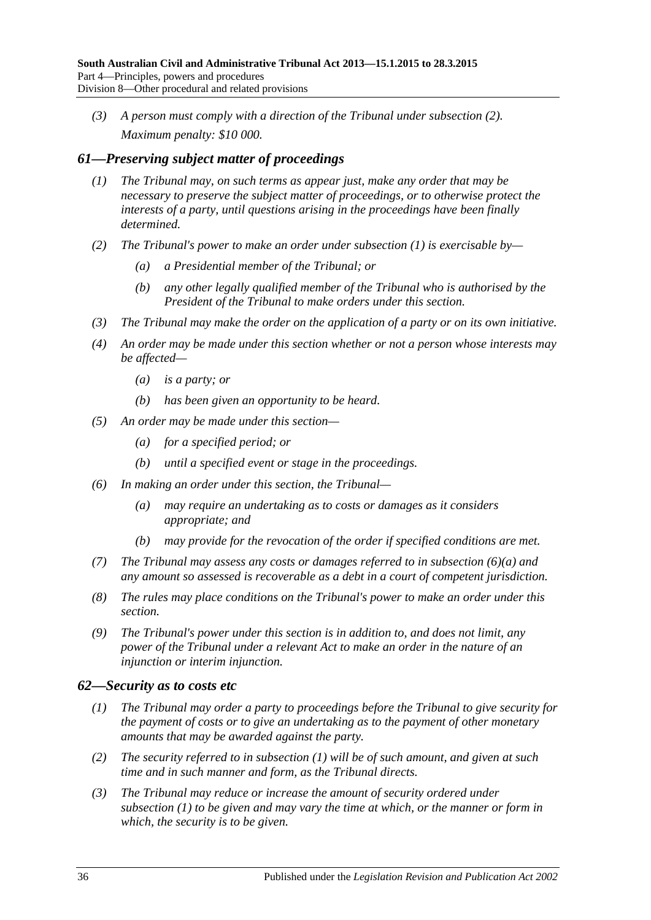*(3) A person must comply with a direction of the Tribunal under [subsection](#page-34-3) (2). Maximum penalty: \$10 000.*

## <span id="page-35-2"></span><span id="page-35-0"></span>*61—Preserving subject matter of proceedings*

- *(1) The Tribunal may, on such terms as appear just, make any order that may be necessary to preserve the subject matter of proceedings, or to otherwise protect the interests of a party, until questions arising in the proceedings have been finally determined.*
- *(2) The Tribunal's power to make an order under [subsection](#page-35-2) (1) is exercisable by—*
	- *(a) a Presidential member of the Tribunal; or*
	- *(b) any other legally qualified member of the Tribunal who is authorised by the President of the Tribunal to make orders under this section.*
- *(3) The Tribunal may make the order on the application of a party or on its own initiative.*
- *(4) An order may be made under this section whether or not a person whose interests may be affected—*
	- *(a) is a party; or*
	- *(b) has been given an opportunity to be heard.*
- *(5) An order may be made under this section—*
	- *(a) for a specified period; or*
	- *(b) until a specified event or stage in the proceedings.*
- <span id="page-35-3"></span>*(6) In making an order under this section, the Tribunal—*
	- *(a) may require an undertaking as to costs or damages as it considers appropriate; and*
	- *(b) may provide for the revocation of the order if specified conditions are met.*
- *(7) The Tribunal may assess any costs or damages referred to in [subsection](#page-35-3) (6)(a) and any amount so assessed is recoverable as a debt in a court of competent jurisdiction.*
- *(8) The rules may place conditions on the Tribunal's power to make an order under this section.*
- *(9) The Tribunal's power under this section is in addition to, and does not limit, any power of the Tribunal under a relevant Act to make an order in the nature of an injunction or interim injunction.*

## <span id="page-35-4"></span><span id="page-35-1"></span>*62—Security as to costs etc*

- *(1) The Tribunal may order a party to proceedings before the Tribunal to give security for the payment of costs or to give an undertaking as to the payment of other monetary amounts that may be awarded against the party.*
- *(2) The security referred to in [subsection](#page-35-4) (1) will be of such amount, and given at such time and in such manner and form, as the Tribunal directs.*
- *(3) The Tribunal may reduce or increase the amount of security ordered under [subsection](#page-35-4) (1) to be given and may vary the time at which, or the manner or form in which, the security is to be given.*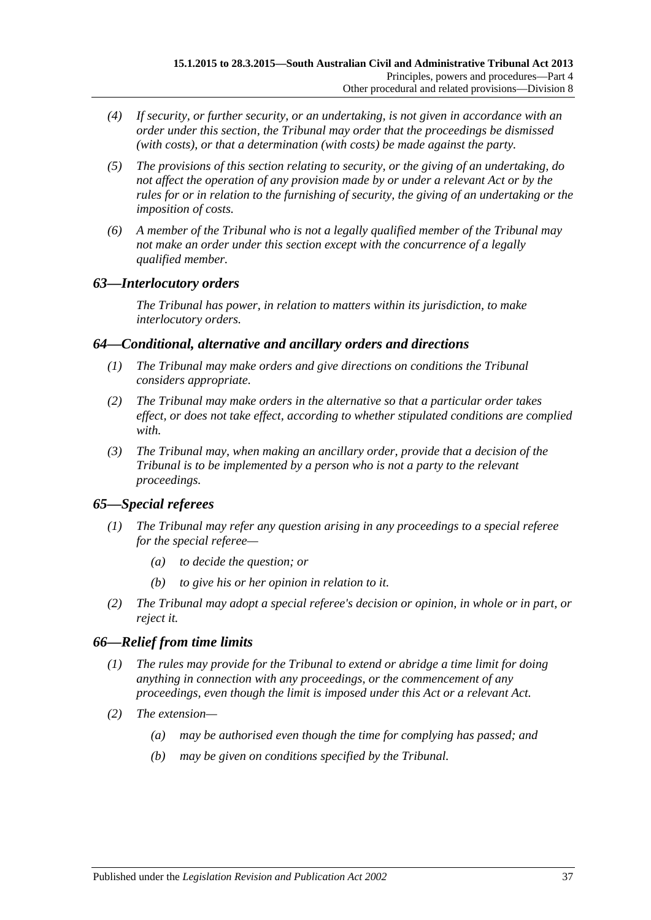- *(4) If security, or further security, or an undertaking, is not given in accordance with an order under this section, the Tribunal may order that the proceedings be dismissed (with costs), or that a determination (with costs) be made against the party.*
- *(5) The provisions of this section relating to security, or the giving of an undertaking, do not affect the operation of any provision made by or under a relevant Act or by the rules for or in relation to the furnishing of security, the giving of an undertaking or the imposition of costs.*
- *(6) A member of the Tribunal who is not a legally qualified member of the Tribunal may not make an order under this section except with the concurrence of a legally qualified member.*

## <span id="page-36-0"></span>*63—Interlocutory orders*

*The Tribunal has power, in relation to matters within its jurisdiction, to make interlocutory orders.*

## <span id="page-36-1"></span>*64—Conditional, alternative and ancillary orders and directions*

- *(1) The Tribunal may make orders and give directions on conditions the Tribunal considers appropriate.*
- *(2) The Tribunal may make orders in the alternative so that a particular order takes effect, or does not take effect, according to whether stipulated conditions are complied with.*
- *(3) The Tribunal may, when making an ancillary order, provide that a decision of the Tribunal is to be implemented by a person who is not a party to the relevant proceedings.*

# <span id="page-36-2"></span>*65—Special referees*

- *(1) The Tribunal may refer any question arising in any proceedings to a special referee for the special referee—*
	- *(a) to decide the question; or*
	- *(b) to give his or her opinion in relation to it.*
- *(2) The Tribunal may adopt a special referee's decision or opinion, in whole or in part, or reject it.*

# <span id="page-36-3"></span>*66—Relief from time limits*

- *(1) The rules may provide for the Tribunal to extend or abridge a time limit for doing anything in connection with any proceedings, or the commencement of any proceedings, even though the limit is imposed under this Act or a relevant Act.*
- *(2) The extension—*
	- *(a) may be authorised even though the time for complying has passed; and*
	- *(b) may be given on conditions specified by the Tribunal.*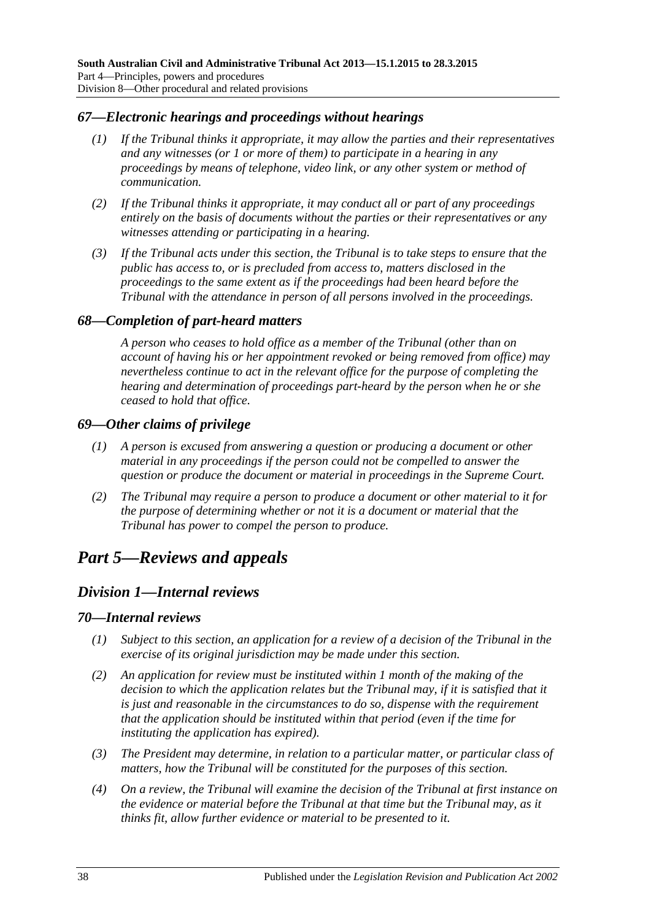#### <span id="page-37-0"></span>*67—Electronic hearings and proceedings without hearings*

- *(1) If the Tribunal thinks it appropriate, it may allow the parties and their representatives and any witnesses (or 1 or more of them) to participate in a hearing in any proceedings by means of telephone, video link, or any other system or method of communication.*
- *(2) If the Tribunal thinks it appropriate, it may conduct all or part of any proceedings entirely on the basis of documents without the parties or their representatives or any witnesses attending or participating in a hearing.*
- *(3) If the Tribunal acts under this section, the Tribunal is to take steps to ensure that the public has access to, or is precluded from access to, matters disclosed in the proceedings to the same extent as if the proceedings had been heard before the Tribunal with the attendance in person of all persons involved in the proceedings.*

#### <span id="page-37-1"></span>*68—Completion of part-heard matters*

*A person who ceases to hold office as a member of the Tribunal (other than on account of having his or her appointment revoked or being removed from office) may nevertheless continue to act in the relevant office for the purpose of completing the hearing and determination of proceedings part-heard by the person when he or she ceased to hold that office.*

#### <span id="page-37-2"></span>*69—Other claims of privilege*

- *(1) A person is excused from answering a question or producing a document or other material in any proceedings if the person could not be compelled to answer the question or produce the document or material in proceedings in the Supreme Court.*
- *(2) The Tribunal may require a person to produce a document or other material to it for the purpose of determining whether or not it is a document or material that the Tribunal has power to compel the person to produce.*

# <span id="page-37-4"></span><span id="page-37-3"></span>*Part 5—Reviews and appeals*

# *Division 1—Internal reviews*

#### <span id="page-37-5"></span>*70—Internal reviews*

- *(1) Subject to this section, an application for a review of a decision of the Tribunal in the exercise of its original jurisdiction may be made under this section.*
- *(2) An application for review must be instituted within 1 month of the making of the decision to which the application relates but the Tribunal may, if it is satisfied that it is just and reasonable in the circumstances to do so, dispense with the requirement that the application should be instituted within that period (even if the time for instituting the application has expired).*
- *(3) The President may determine, in relation to a particular matter, or particular class of matters, how the Tribunal will be constituted for the purposes of this section.*
- *(4) On a review, the Tribunal will examine the decision of the Tribunal at first instance on the evidence or material before the Tribunal at that time but the Tribunal may, as it thinks fit, allow further evidence or material to be presented to it.*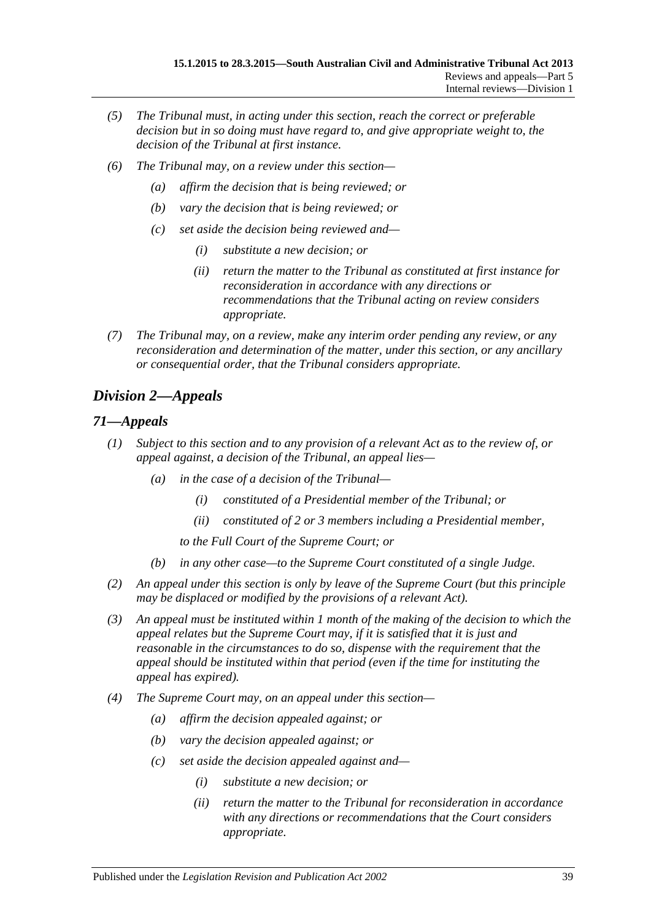- *(5) The Tribunal must, in acting under this section, reach the correct or preferable decision but in so doing must have regard to, and give appropriate weight to, the decision of the Tribunal at first instance.*
- *(6) The Tribunal may, on a review under this section—*
	- *(a) affirm the decision that is being reviewed; or*
	- *(b) vary the decision that is being reviewed; or*
	- *(c) set aside the decision being reviewed and—*
		- *(i) substitute a new decision; or*
		- *(ii) return the matter to the Tribunal as constituted at first instance for reconsideration in accordance with any directions or recommendations that the Tribunal acting on review considers appropriate.*
- *(7) The Tribunal may, on a review, make any interim order pending any review, or any reconsideration and determination of the matter, under this section, or any ancillary or consequential order, that the Tribunal considers appropriate.*

# <span id="page-38-0"></span>*Division 2—Appeals*

## <span id="page-38-1"></span>*71—Appeals*

- *(1) Subject to this section and to any provision of a relevant Act as to the review of, or appeal against, a decision of the Tribunal, an appeal lies—*
	- *(a) in the case of a decision of the Tribunal—*
		- *(i) constituted of a Presidential member of the Tribunal; or*
		- *(ii) constituted of 2 or 3 members including a Presidential member,*
		- *to the Full Court of the Supreme Court; or*
	- *(b) in any other case—to the Supreme Court constituted of a single Judge.*
- *(2) An appeal under this section is only by leave of the Supreme Court (but this principle may be displaced or modified by the provisions of a relevant Act).*
- *(3) An appeal must be instituted within 1 month of the making of the decision to which the appeal relates but the Supreme Court may, if it is satisfied that it is just and reasonable in the circumstances to do so, dispense with the requirement that the appeal should be instituted within that period (even if the time for instituting the appeal has expired).*
- *(4) The Supreme Court may, on an appeal under this section—*
	- *(a) affirm the decision appealed against; or*
	- *(b) vary the decision appealed against; or*
	- *(c) set aside the decision appealed against and—*
		- *(i) substitute a new decision; or*
		- *(ii) return the matter to the Tribunal for reconsideration in accordance with any directions or recommendations that the Court considers appropriate.*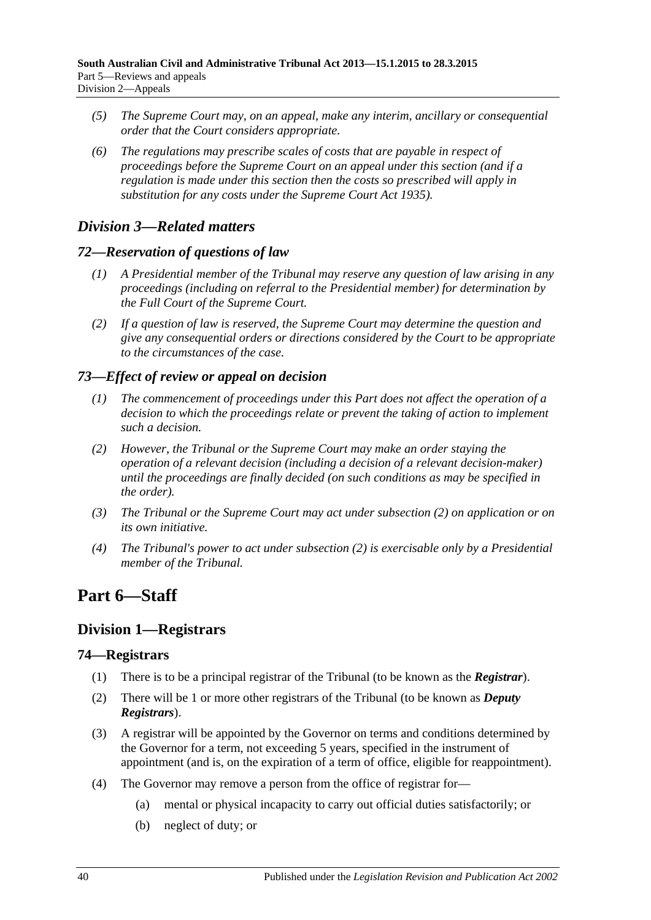- *(5) The Supreme Court may, on an appeal, make any interim, ancillary or consequential order that the Court considers appropriate.*
- *(6) The regulations may prescribe scales of costs that are payable in respect of proceedings before the Supreme Court on an appeal under this section (and if a regulation is made under this section then the costs so prescribed will apply in substitution for any costs under the [Supreme Court Act](http://www.legislation.sa.gov.au/index.aspx?action=legref&type=act&legtitle=Supreme%20Court%20Act%201935) 1935).*

# <span id="page-39-0"></span>*Division 3—Related matters*

## <span id="page-39-1"></span>*72—Reservation of questions of law*

- *(1) A Presidential member of the Tribunal may reserve any question of law arising in any proceedings (including on referral to the Presidential member) for determination by the Full Court of the Supreme Court.*
- *(2) If a question of law is reserved, the Supreme Court may determine the question and give any consequential orders or directions considered by the Court to be appropriate to the circumstances of the case.*

# <span id="page-39-2"></span>*73—Effect of review or appeal on decision*

- *(1) The commencement of proceedings under this Part does not affect the operation of a decision to which the proceedings relate or prevent the taking of action to implement such a decision.*
- <span id="page-39-6"></span>*(2) However, the Tribunal or the Supreme Court may make an order staying the operation of a relevant decision (including a decision of a relevant decision-maker) until the proceedings are finally decided (on such conditions as may be specified in the order).*
- *(3) The Tribunal or the Supreme Court may act under [subsection](#page-39-6) (2) on application or on its own initiative.*
- *(4) The Tribunal's power to act under [subsection](#page-39-6) (2) is exercisable only by a Presidential member of the Tribunal.*

# <span id="page-39-3"></span>**Part 6—Staff**

# <span id="page-39-4"></span>**Division 1—Registrars**

## <span id="page-39-5"></span>**74—Registrars**

- (1) There is to be a principal registrar of the Tribunal (to be known as the *Registrar*).
- (2) There will be 1 or more other registrars of the Tribunal (to be known as *Deputy Registrars*).
- (3) A registrar will be appointed by the Governor on terms and conditions determined by the Governor for a term, not exceeding 5 years, specified in the instrument of appointment (and is, on the expiration of a term of office, eligible for reappointment).
- <span id="page-39-7"></span>(4) The Governor may remove a person from the office of registrar for—
	- (a) mental or physical incapacity to carry out official duties satisfactorily; or
	- (b) neglect of duty; or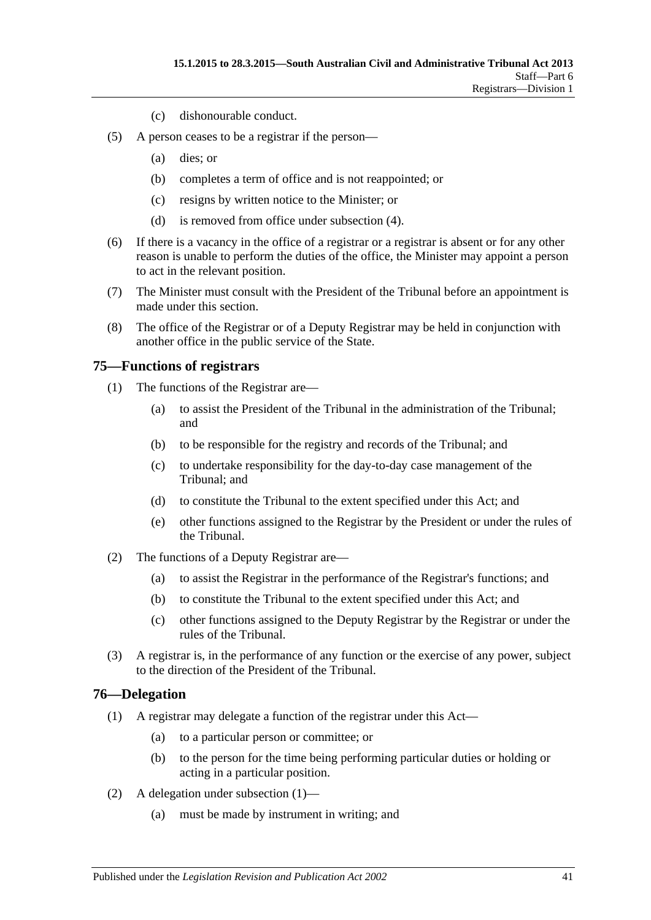- (c) dishonourable conduct.
- (5) A person ceases to be a registrar if the person—
	- (a) dies; or
	- (b) completes a term of office and is not reappointed; or
	- (c) resigns by written notice to the Minister; or
	- (d) is removed from office under [subsection](#page-39-7) (4).
- (6) If there is a vacancy in the office of a registrar or a registrar is absent or for any other reason is unable to perform the duties of the office, the Minister may appoint a person to act in the relevant position.
- (7) The Minister must consult with the President of the Tribunal before an appointment is made under this section.
- (8) The office of the Registrar or of a Deputy Registrar may be held in conjunction with another office in the public service of the State.

#### <span id="page-40-0"></span>**75—Functions of registrars**

- (1) The functions of the Registrar are—
	- (a) to assist the President of the Tribunal in the administration of the Tribunal; and
	- (b) to be responsible for the registry and records of the Tribunal; and
	- (c) to undertake responsibility for the day-to-day case management of the Tribunal; and
	- (d) to constitute the Tribunal to the extent specified under this Act; and
	- (e) other functions assigned to the Registrar by the President or under the rules of the Tribunal.
- (2) The functions of a Deputy Registrar are—
	- (a) to assist the Registrar in the performance of the Registrar's functions; and
	- (b) to constitute the Tribunal to the extent specified under this Act; and
	- (c) other functions assigned to the Deputy Registrar by the Registrar or under the rules of the Tribunal.
- (3) A registrar is, in the performance of any function or the exercise of any power, subject to the direction of the President of the Tribunal.

#### <span id="page-40-2"></span><span id="page-40-1"></span>**76—Delegation**

- (1) A registrar may delegate a function of the registrar under this Act—
	- (a) to a particular person or committee; or
	- (b) to the person for the time being performing particular duties or holding or acting in a particular position.
- (2) A delegation under [subsection](#page-40-2) (1)—
	- (a) must be made by instrument in writing; and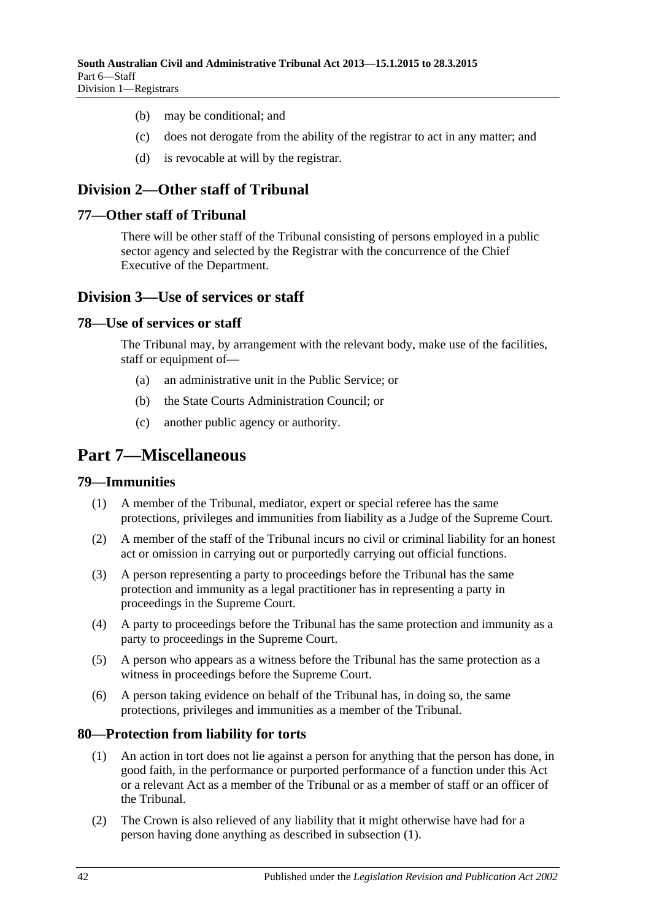- (b) may be conditional; and
- (c) does not derogate from the ability of the registrar to act in any matter; and
- (d) is revocable at will by the registrar.

# <span id="page-41-0"></span>**Division 2—Other staff of Tribunal**

#### <span id="page-41-1"></span>**77—Other staff of Tribunal**

There will be other staff of the Tribunal consisting of persons employed in a public sector agency and selected by the Registrar with the concurrence of the Chief Executive of the Department.

## <span id="page-41-2"></span>**Division 3—Use of services or staff**

#### <span id="page-41-3"></span>**78—Use of services or staff**

The Tribunal may, by arrangement with the relevant body, make use of the facilities, staff or equipment of—

- (a) an administrative unit in the Public Service; or
- (b) the State Courts Administration Council; or
- (c) another public agency or authority.

# <span id="page-41-4"></span>**Part 7—Miscellaneous**

#### <span id="page-41-5"></span>**79—Immunities**

- (1) A member of the Tribunal, mediator, expert or special referee has the same protections, privileges and immunities from liability as a Judge of the Supreme Court.
- (2) A member of the staff of the Tribunal incurs no civil or criminal liability for an honest act or omission in carrying out or purportedly carrying out official functions.
- (3) A person representing a party to proceedings before the Tribunal has the same protection and immunity as a legal practitioner has in representing a party in proceedings in the Supreme Court.
- (4) A party to proceedings before the Tribunal has the same protection and immunity as a party to proceedings in the Supreme Court.
- (5) A person who appears as a witness before the Tribunal has the same protection as a witness in proceedings before the Supreme Court.
- (6) A person taking evidence on behalf of the Tribunal has, in doing so, the same protections, privileges and immunities as a member of the Tribunal.

## <span id="page-41-7"></span><span id="page-41-6"></span>**80—Protection from liability for torts**

- (1) An action in tort does not lie against a person for anything that the person has done, in good faith, in the performance or purported performance of a function under this Act or a relevant Act as a member of the Tribunal or as a member of staff or an officer of the Tribunal.
- (2) The Crown is also relieved of any liability that it might otherwise have had for a person having done anything as described in [subsection](#page-41-7) (1).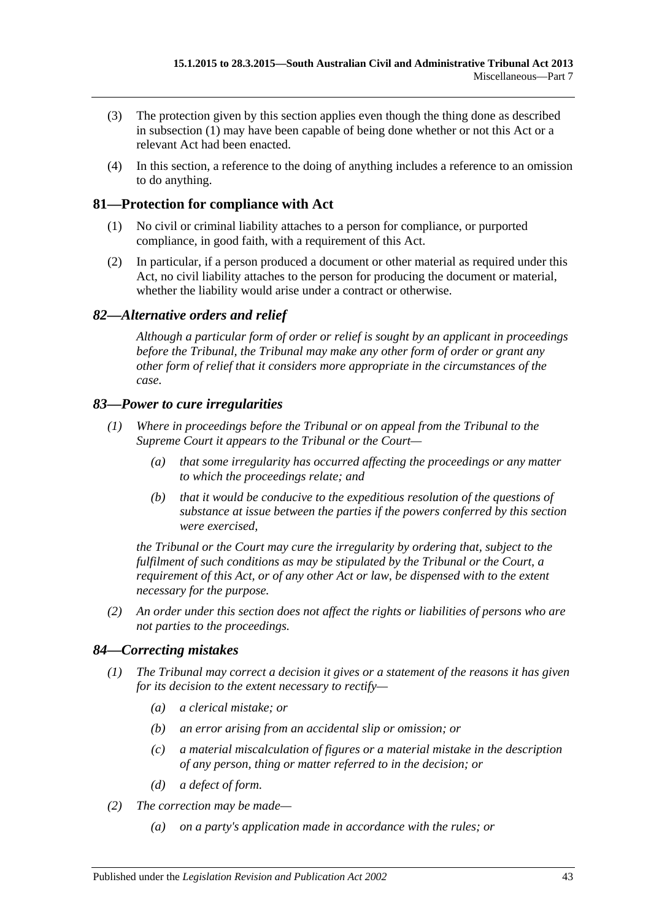- (3) The protection given by this section applies even though the thing done as described in [subsection](#page-41-7) (1) may have been capable of being done whether or not this Act or a relevant Act had been enacted.
- (4) In this section, a reference to the doing of anything includes a reference to an omission to do anything.

## <span id="page-42-0"></span>**81—Protection for compliance with Act**

- (1) No civil or criminal liability attaches to a person for compliance, or purported compliance, in good faith, with a requirement of this Act.
- (2) In particular, if a person produced a document or other material as required under this Act, no civil liability attaches to the person for producing the document or material, whether the liability would arise under a contract or otherwise.

## <span id="page-42-1"></span>*82—Alternative orders and relief*

*Although a particular form of order or relief is sought by an applicant in proceedings before the Tribunal, the Tribunal may make any other form of order or grant any other form of relief that it considers more appropriate in the circumstances of the case.*

## <span id="page-42-2"></span>*83—Power to cure irregularities*

- *(1) Where in proceedings before the Tribunal or on appeal from the Tribunal to the Supreme Court it appears to the Tribunal or the Court—*
	- *(a) that some irregularity has occurred affecting the proceedings or any matter to which the proceedings relate; and*
	- *(b) that it would be conducive to the expeditious resolution of the questions of substance at issue between the parties if the powers conferred by this section were exercised,*

*the Tribunal or the Court may cure the irregularity by ordering that, subject to the fulfilment of such conditions as may be stipulated by the Tribunal or the Court, a requirement of this Act, or of any other Act or law, be dispensed with to the extent necessary for the purpose.*

*(2) An order under this section does not affect the rights or liabilities of persons who are not parties to the proceedings.*

## <span id="page-42-3"></span>*84—Correcting mistakes*

- *(1) The Tribunal may correct a decision it gives or a statement of the reasons it has given for its decision to the extent necessary to rectify—*
	- *(a) a clerical mistake; or*
	- *(b) an error arising from an accidental slip or omission; or*
	- *(c) a material miscalculation of figures or a material mistake in the description of any person, thing or matter referred to in the decision; or*
	- *(d) a defect of form.*
- *(2) The correction may be made—*
	- *(a) on a party's application made in accordance with the rules; or*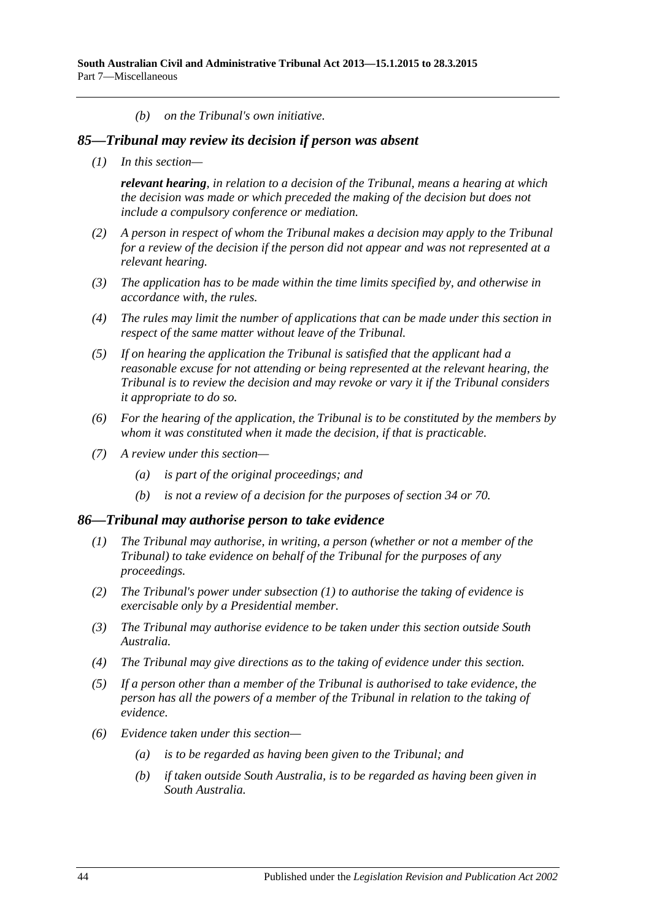*(b) on the Tribunal's own initiative.*

#### <span id="page-43-0"></span>*85—Tribunal may review its decision if person was absent*

*(1) In this section—*

*relevant hearing, in relation to a decision of the Tribunal, means a hearing at which the decision was made or which preceded the making of the decision but does not include a compulsory conference or mediation.*

- *(2) A person in respect of whom the Tribunal makes a decision may apply to the Tribunal for a review of the decision if the person did not appear and was not represented at a relevant hearing.*
- *(3) The application has to be made within the time limits specified by, and otherwise in accordance with, the rules.*
- *(4) The rules may limit the number of applications that can be made under this section in respect of the same matter without leave of the Tribunal.*
- *(5) If on hearing the application the Tribunal is satisfied that the applicant had a reasonable excuse for not attending or being represented at the relevant hearing, the Tribunal is to review the decision and may revoke or vary it if the Tribunal considers it appropriate to do so.*
- *(6) For the hearing of the application, the Tribunal is to be constituted by the members by whom it was constituted when it made the decision, if that is practicable.*
- *(7) A review under this section—*
	- *(a) is part of the original proceedings; and*
	- *(b) is not a review of a decision for the purposes of [section](#page-21-3) 34 or [70.](#page-37-5)*

#### <span id="page-43-2"></span><span id="page-43-1"></span>*86—Tribunal may authorise person to take evidence*

- *(1) The Tribunal may authorise, in writing, a person (whether or not a member of the Tribunal) to take evidence on behalf of the Tribunal for the purposes of any proceedings.*
- *(2) The Tribunal's power under [subsection](#page-43-2) (1) to authorise the taking of evidence is exercisable only by a Presidential member.*
- *(3) The Tribunal may authorise evidence to be taken under this section outside South Australia.*
- *(4) The Tribunal may give directions as to the taking of evidence under this section.*
- *(5) If a person other than a member of the Tribunal is authorised to take evidence, the person has all the powers of a member of the Tribunal in relation to the taking of evidence.*
- *(6) Evidence taken under this section—*
	- *(a) is to be regarded as having been given to the Tribunal; and*
	- *(b) if taken outside South Australia, is to be regarded as having been given in South Australia.*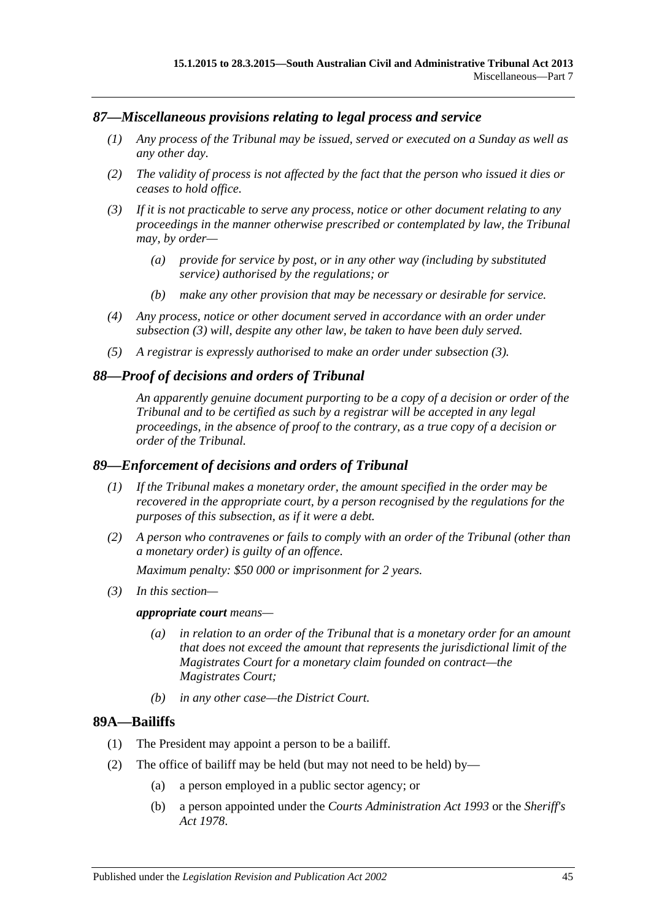#### <span id="page-44-0"></span>*87—Miscellaneous provisions relating to legal process and service*

- *(1) Any process of the Tribunal may be issued, served or executed on a Sunday as well as any other day.*
- *(2) The validity of process is not affected by the fact that the person who issued it dies or ceases to hold office.*
- <span id="page-44-4"></span>*(3) If it is not practicable to serve any process, notice or other document relating to any proceedings in the manner otherwise prescribed or contemplated by law, the Tribunal may, by order—*
	- *(a) provide for service by post, or in any other way (including by substituted service) authorised by the regulations; or*
	- *(b) make any other provision that may be necessary or desirable for service.*
- *(4) Any process, notice or other document served in accordance with an order under [subsection](#page-44-4) (3) will, despite any other law, be taken to have been duly served.*
- *(5) A registrar is expressly authorised to make an order under [subsection](#page-44-4) (3).*

#### <span id="page-44-1"></span>*88—Proof of decisions and orders of Tribunal*

*An apparently genuine document purporting to be a copy of a decision or order of the Tribunal and to be certified as such by a registrar will be accepted in any legal proceedings, in the absence of proof to the contrary, as a true copy of a decision or order of the Tribunal.*

#### <span id="page-44-2"></span>*89—Enforcement of decisions and orders of Tribunal*

- *(1) If the Tribunal makes a monetary order, the amount specified in the order may be recovered in the appropriate court, by a person recognised by the regulations for the purposes of this subsection, as if it were a debt.*
- *(2) A person who contravenes or fails to comply with an order of the Tribunal (other than a monetary order) is guilty of an offence.*

*Maximum penalty: \$50 000 or imprisonment for 2 years.*

*(3) In this section—*

*appropriate court means—*

- *(a) in relation to an order of the Tribunal that is a monetary order for an amount that does not exceed the amount that represents the jurisdictional limit of the Magistrates Court for a monetary claim founded on contract—the Magistrates Court;*
- *(b) in any other case—the District Court.*

#### <span id="page-44-3"></span>**89A—Bailiffs**

- (1) The President may appoint a person to be a bailiff.
- (2) The office of bailiff may be held (but may not need to be held) by—
	- (a) a person employed in a public sector agency; or
	- (b) a person appointed under the *[Courts Administration Act](http://www.legislation.sa.gov.au/index.aspx?action=legref&type=act&legtitle=Courts%20Administration%20Act%201993) 1993* or the *[Sheriff's](http://www.legislation.sa.gov.au/index.aspx?action=legref&type=act&legtitle=Sheriffs%20Act%201978)  Act [1978](http://www.legislation.sa.gov.au/index.aspx?action=legref&type=act&legtitle=Sheriffs%20Act%201978)*.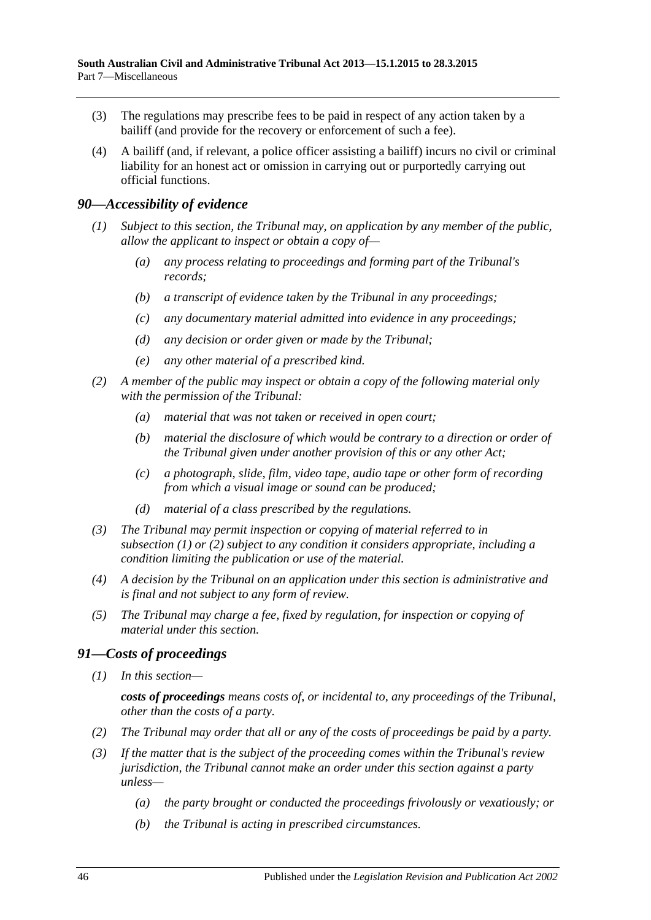- (3) The regulations may prescribe fees to be paid in respect of any action taken by a bailiff (and provide for the recovery or enforcement of such a fee).
- (4) A bailiff (and, if relevant, a police officer assisting a bailiff) incurs no civil or criminal liability for an honest act or omission in carrying out or purportedly carrying out official functions.

#### <span id="page-45-2"></span><span id="page-45-0"></span>*90—Accessibility of evidence*

- *(1) Subject to this section, the Tribunal may, on application by any member of the public, allow the applicant to inspect or obtain a copy of—*
	- *(a) any process relating to proceedings and forming part of the Tribunal's records;*
	- *(b) a transcript of evidence taken by the Tribunal in any proceedings;*
	- *(c) any documentary material admitted into evidence in any proceedings;*
	- *(d) any decision or order given or made by the Tribunal;*
	- *(e) any other material of a prescribed kind.*
- <span id="page-45-3"></span>*(2) A member of the public may inspect or obtain a copy of the following material only with the permission of the Tribunal:*
	- *(a) material that was not taken or received in open court;*
	- *(b) material the disclosure of which would be contrary to a direction or order of the Tribunal given under another provision of this or any other Act;*
	- *(c) a photograph, slide, film, video tape, audio tape or other form of recording from which a visual image or sound can be produced;*
	- *(d) material of a class prescribed by the regulations.*
- *(3) The Tribunal may permit inspection or copying of material referred to in [subsection](#page-45-2) (1) or [\(2\)](#page-45-3) subject to any condition it considers appropriate, including a condition limiting the publication or use of the material.*
- *(4) A decision by the Tribunal on an application under this section is administrative and is final and not subject to any form of review.*
- *(5) The Tribunal may charge a fee, fixed by regulation, for inspection or copying of material under this section.*

## <span id="page-45-1"></span>*91—Costs of proceedings*

*(1) In this section—*

*costs of proceedings means costs of, or incidental to, any proceedings of the Tribunal, other than the costs of a party.*

- *(2) The Tribunal may order that all or any of the costs of proceedings be paid by a party.*
- *(3) If the matter that is the subject of the proceeding comes within the Tribunal's review jurisdiction, the Tribunal cannot make an order under this section against a party unless—*
	- *(a) the party brought or conducted the proceedings frivolously or vexatiously; or*
	- *(b) the Tribunal is acting in prescribed circumstances.*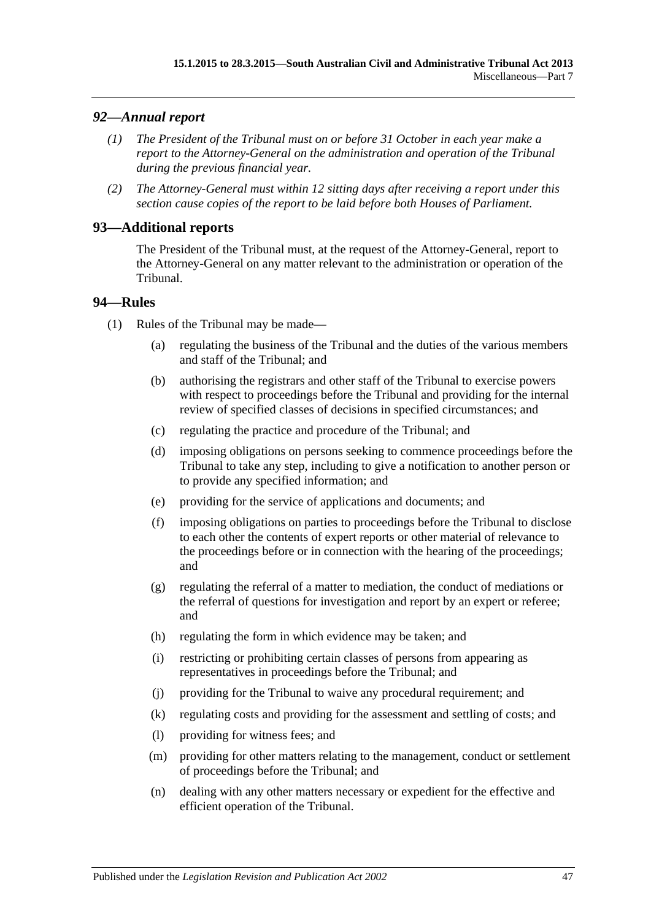## <span id="page-46-0"></span>*92—Annual report*

- *(1) The President of the Tribunal must on or before 31 October in each year make a report to the Attorney-General on the administration and operation of the Tribunal during the previous financial year.*
- *(2) The Attorney-General must within 12 sitting days after receiving a report under this section cause copies of the report to be laid before both Houses of Parliament.*

## <span id="page-46-1"></span>**93—Additional reports**

The President of the Tribunal must, at the request of the Attorney-General, report to the Attorney-General on any matter relevant to the administration or operation of the Tribunal.

## <span id="page-46-2"></span>**94—Rules**

- (1) Rules of the Tribunal may be made—
	- (a) regulating the business of the Tribunal and the duties of the various members and staff of the Tribunal; and
	- (b) authorising the registrars and other staff of the Tribunal to exercise powers with respect to proceedings before the Tribunal and providing for the internal review of specified classes of decisions in specified circumstances; and
	- (c) regulating the practice and procedure of the Tribunal; and
	- (d) imposing obligations on persons seeking to commence proceedings before the Tribunal to take any step, including to give a notification to another person or to provide any specified information; and
	- (e) providing for the service of applications and documents; and
	- (f) imposing obligations on parties to proceedings before the Tribunal to disclose to each other the contents of expert reports or other material of relevance to the proceedings before or in connection with the hearing of the proceedings; and
	- (g) regulating the referral of a matter to mediation, the conduct of mediations or the referral of questions for investigation and report by an expert or referee; and
	- (h) regulating the form in which evidence may be taken; and
	- (i) restricting or prohibiting certain classes of persons from appearing as representatives in proceedings before the Tribunal; and
	- (j) providing for the Tribunal to waive any procedural requirement; and
	- (k) regulating costs and providing for the assessment and settling of costs; and
	- (l) providing for witness fees; and
	- (m) providing for other matters relating to the management, conduct or settlement of proceedings before the Tribunal; and
	- (n) dealing with any other matters necessary or expedient for the effective and efficient operation of the Tribunal.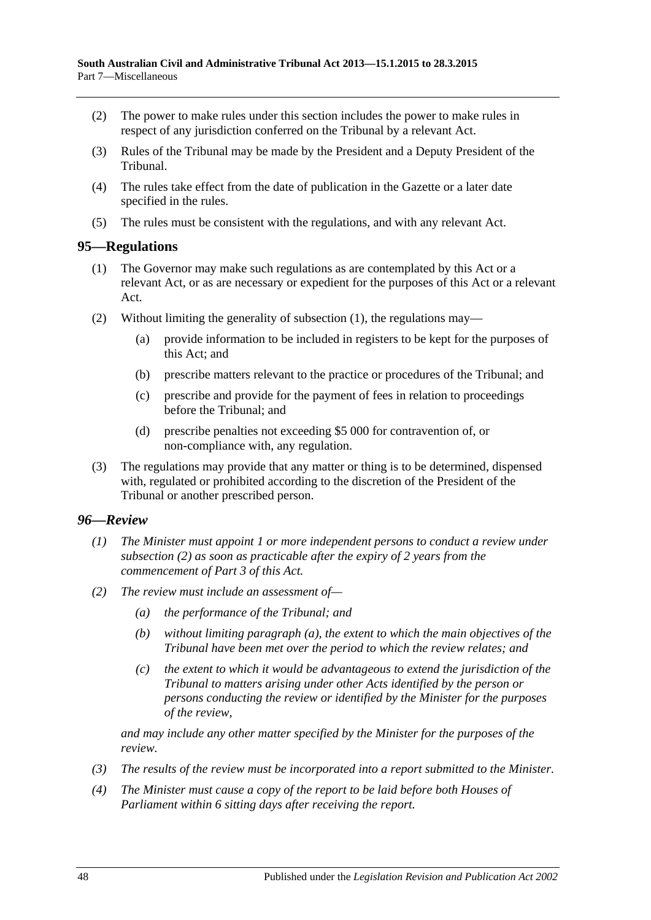- (2) The power to make rules under this section includes the power to make rules in respect of any jurisdiction conferred on the Tribunal by a relevant Act.
- (3) Rules of the Tribunal may be made by the President and a Deputy President of the Tribunal.
- (4) The rules take effect from the date of publication in the Gazette or a later date specified in the rules.
- (5) The rules must be consistent with the regulations, and with any relevant Act.

#### <span id="page-47-2"></span><span id="page-47-0"></span>**95—Regulations**

- (1) The Governor may make such regulations as are contemplated by this Act or a relevant Act, or as are necessary or expedient for the purposes of this Act or a relevant Act.
- (2) Without limiting the generality of [subsection](#page-47-2) (1), the regulations may—
	- (a) provide information to be included in registers to be kept for the purposes of this Act; and
	- (b) prescribe matters relevant to the practice or procedures of the Tribunal; and
	- (c) prescribe and provide for the payment of fees in relation to proceedings before the Tribunal; and
	- (d) prescribe penalties not exceeding \$5 000 for contravention of, or non-compliance with, any regulation.
- (3) The regulations may provide that any matter or thing is to be determined, dispensed with, regulated or prohibited according to the discretion of the President of the Tribunal or another prescribed person.

#### <span id="page-47-1"></span>*96—Review*

- *(1) The Minister must appoint 1 or more independent persons to conduct a review under [subsection](#page-47-3) (2) as soon as practicable after the expiry of 2 years from the commencement of [Part](#page-20-1) 3 of this Act.*
- <span id="page-47-4"></span><span id="page-47-3"></span>*(2) The review must include an assessment of—*
	- *(a) the performance of the Tribunal; and*
	- *(b) without limiting [paragraph](#page-47-4) (a), the extent to which the main objectives of the Tribunal have been met over the period to which the review relates; and*
	- *(c) the extent to which it would be advantageous to extend the jurisdiction of the Tribunal to matters arising under other Acts identified by the person or persons conducting the review or identified by the Minister for the purposes of the review,*

*and may include any other matter specified by the Minister for the purposes of the review.*

- *(3) The results of the review must be incorporated into a report submitted to the Minister.*
- *(4) The Minister must cause a copy of the report to be laid before both Houses of Parliament within 6 sitting days after receiving the report.*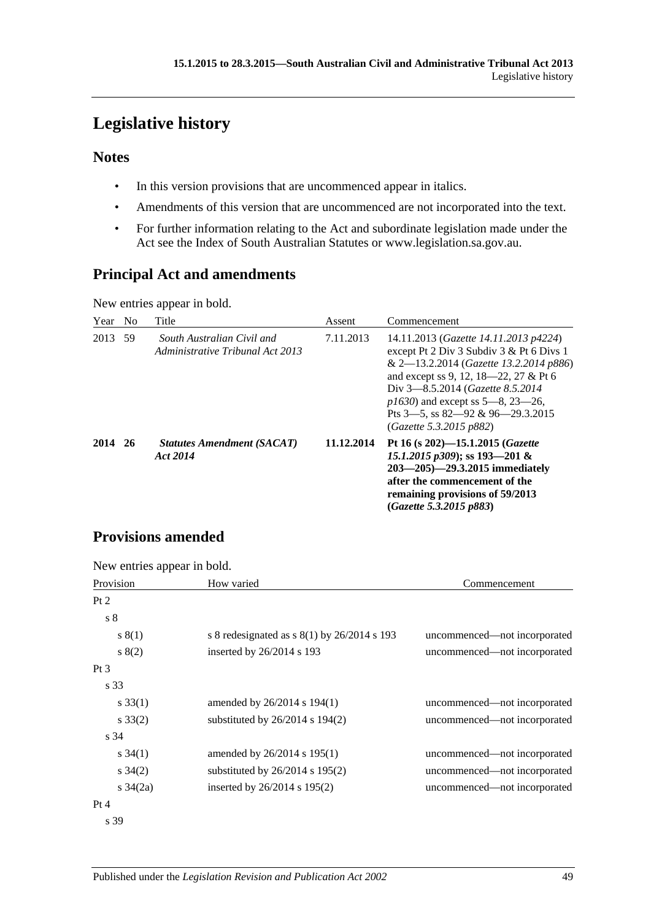# <span id="page-48-0"></span>**Legislative history**

## **Notes**

- In this version provisions that are uncommenced appear in italics.
- Amendments of this version that are uncommenced are not incorporated into the text.
- For further information relating to the Act and subordinate legislation made under the Act see the Index of South Australian Statutes or www.legislation.sa.gov.au.

# **Principal Act and amendments**

New entries appear in bold.

| Year | N <sub>0</sub> | Title                                                          | Assent     | Commencement                                                                                                                                                                                                                                                                                                                 |
|------|----------------|----------------------------------------------------------------|------------|------------------------------------------------------------------------------------------------------------------------------------------------------------------------------------------------------------------------------------------------------------------------------------------------------------------------------|
| 2013 | 59             | South Australian Civil and<br>Administrative Tribunal Act 2013 | 7.11.2013  | 14.11.2013 (Gazette 14.11.2013 p4224)<br>except Pt 2 Div 3 Subdiv 3 & Pt 6 Divs 1<br>& 2-13.2.2014 (Gazette 13.2.2014 p886)<br>and except ss 9, 12, 18—22, 27 & Pt 6<br>Div 3–8.5.2014 ( <i>Gazette 8.5.2014</i> )<br>$p1630$ and except ss 5—8, 23—26,<br>Pts $3$ —5, ss $82$ —92 & 96—29.3.2015<br>(Gazette 5.3.2015 p882) |
| 2014 | <b>26</b>      | <b>Statutes Amendment (SACAT)</b><br>Act 2014                  | 11.12.2014 | Pt 16 (s 202)–15.1.2015 ( <i>Gazette</i><br>15.1.2015 $p309$ ; ss 193-201 &<br>$203 - 205$ – 29.3.2015 immediately<br>after the commencement of the<br>remaining provisions of 59/2013<br>(Gazette 5.3.2015 p883)                                                                                                            |

# **Provisions amended**

New entries appear in bold.

| Provision         | How varied                                  | Commencement                 |
|-------------------|---------------------------------------------|------------------------------|
| Pt 2              |                                             |                              |
| $\sqrt{s}$ 8      |                                             |                              |
| s(1)              | s 8 redesignated as $s(1)$ by 26/2014 s 193 | uncommenced—not incorporated |
| s(2)              | inserted by 26/2014 s 193                   | uncommenced—not incorporated |
| $Pt\,3$           |                                             |                              |
| s 33              |                                             |                              |
| $s \, 33(1)$      | amended by 26/2014 s 194(1)                 | uncommenced—not incorporated |
| $s \, 33(2)$      | substituted by $26/2014$ s $194(2)$         | uncommenced—not incorporated |
| s 34              |                                             |                              |
| $s \, 34(1)$      | amended by 26/2014 s 195(1)                 | uncommenced—not incorporated |
| $s \, 34(2)$      | substituted by $26/2014$ s $195(2)$         | uncommenced—not incorporated |
| $s \frac{34}{2a}$ | inserted by 26/2014 s 195(2)                | uncommenced—not incorporated |
| Pt 4              |                                             |                              |
| s 39              |                                             |                              |